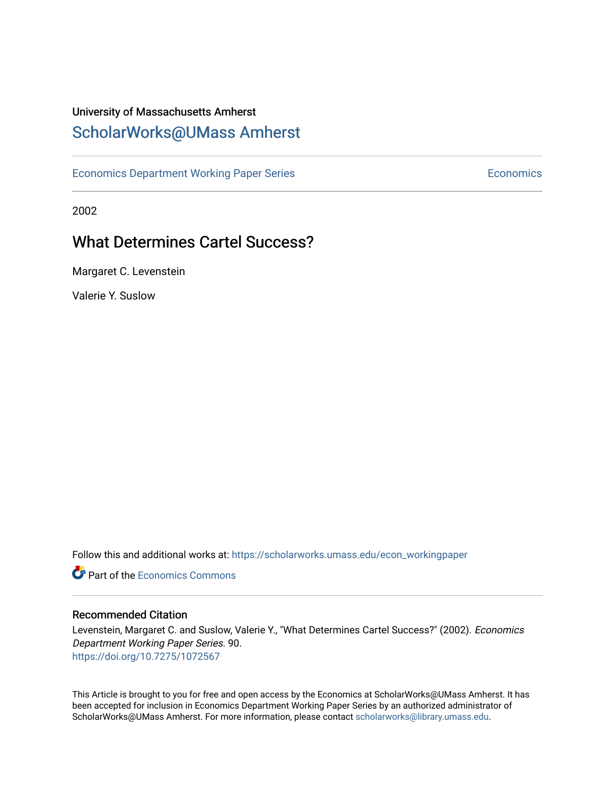# University of Massachusetts Amherst [ScholarWorks@UMass Amherst](https://scholarworks.umass.edu/)

[Economics Department Working Paper Series](https://scholarworks.umass.edu/econ_workingpaper) **Economics** Economics

2002

# What Determines Cartel Success?

Margaret C. Levenstein

Valerie Y. Suslow

Follow this and additional works at: [https://scholarworks.umass.edu/econ\\_workingpaper](https://scholarworks.umass.edu/econ_workingpaper?utm_source=scholarworks.umass.edu%2Fecon_workingpaper%2F90&utm_medium=PDF&utm_campaign=PDFCoverPages) 

**C** Part of the [Economics Commons](http://network.bepress.com/hgg/discipline/340?utm_source=scholarworks.umass.edu%2Fecon_workingpaper%2F90&utm_medium=PDF&utm_campaign=PDFCoverPages)

#### Recommended Citation

Levenstein, Margaret C. and Suslow, Valerie Y., "What Determines Cartel Success?" (2002). Economics Department Working Paper Series. 90. <https://doi.org/10.7275/1072567>

This Article is brought to you for free and open access by the Economics at ScholarWorks@UMass Amherst. It has been accepted for inclusion in Economics Department Working Paper Series by an authorized administrator of ScholarWorks@UMass Amherst. For more information, please contact [scholarworks@library.umass.edu.](mailto:scholarworks@library.umass.edu)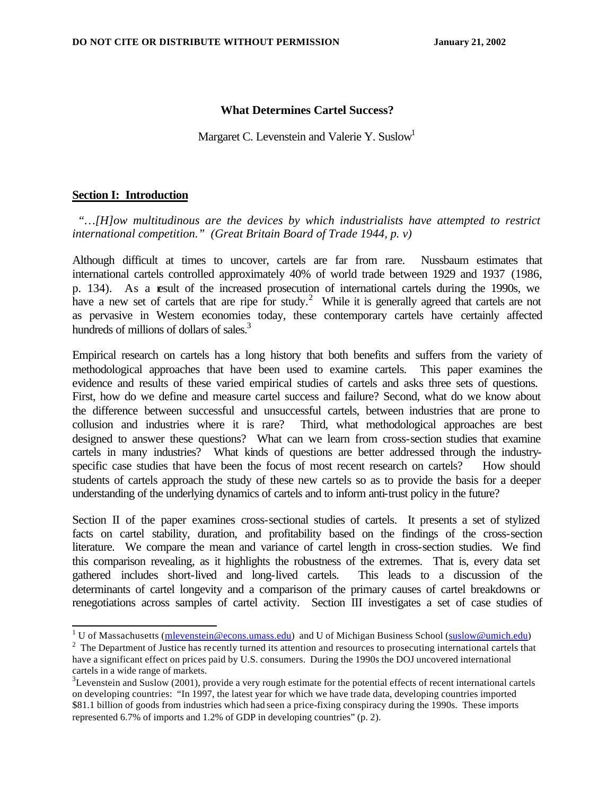#### **What Determines Cartel Success?**

Margaret C. Levenstein and Valerie Y. Suslow<sup>1</sup>

#### **Section I: Introduction**

 *"…[H]ow multitudinous are the devices by which industrialists have attempted to restrict international competition." (Great Britain Board of Trade 1944, p. v)* 

Although difficult at times to uncover, cartels are far from rare. Nussbaum estimates that international cartels controlled approximately 40% of world trade between 1929 and 1937 (1986, p. 134). As a result of the increased prosecution of international cartels during the 1990s, we have a new set of cartels that are ripe for study.<sup>2</sup> While it is generally agreed that cartels are not as pervasive in Western economies today, these contemporary cartels have certainly affected hundreds of millions of dollars of sales.<sup>3</sup>

Empirical research on cartels has a long history that both benefits and suffers from the variety of methodological approaches that have been used to examine cartels. This paper examines the evidence and results of these varied empirical studies of cartels and asks three sets of questions. First, how do we define and measure cartel success and failure? Second, what do we know about the difference between successful and unsuccessful cartels, between industries that are prone to collusion and industries where it is rare? Third, what methodological approaches are best designed to answer these questions? What can we learn from cross-section studies that examine cartels in many industries? What kinds of questions are better addressed through the industryspecific case studies that have been the focus of most recent research on cartels? How should students of cartels approach the study of these new cartels so as to provide the basis for a deeper understanding of the underlying dynamics of cartels and to inform anti-trust policy in the future?

Section II of the paper examines cross-sectional studies of cartels. It presents a set of stylized facts on cartel stability, duration, and profitability based on the findings of the cross-section literature. We compare the mean and variance of cartel length in cross-section studies. We find this comparison revealing, as it highlights the robustness of the extremes. That is, every data set gathered includes short-lived and long-lived cartels. This leads to a discussion of the determinants of cartel longevity and a comparison of the primary causes of cartel breakdowns or renegotiations across samples of cartel activity. Section III investigates a set of case studies of

<sup>&</sup>lt;sup>1</sup> U of Massachusetts (mlevenstein@econs.umass.edu) and U of Michigan Business School (suslow@umich.edu)

 $2<sup>2</sup>$  The Department of Justice has recently turned its attention and resources to prosecuting international cartels that have a significant effect on prices paid by U.S. consumers. During the 1990s the DOJ uncovered international cartels in a wide range of markets.

 $3$ Levenstein and Suslow (2001), provide a very rough estimate for the potential effects of recent international cartels on developing countries: "In 1997, the latest year for which we have trade data, developing countries imported \$81.1 billion of goods from industries which had seen a price-fixing conspiracy during the 1990s. These imports represented 6.7% of imports and 1.2% of GDP in developing countries" (p. 2).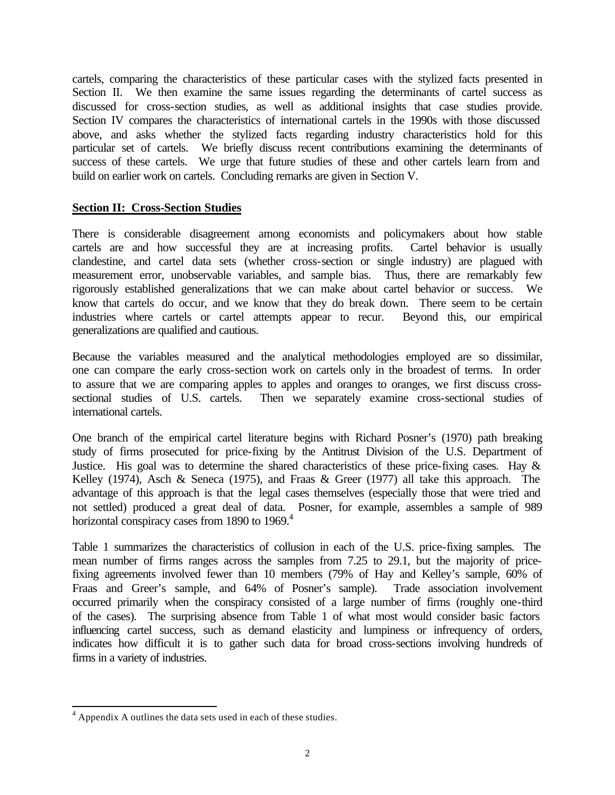cartels, comparing the characteristics of these particular cases with the stylized facts presented in Section II. We then examine the same issues regarding the determinants of cartel success as discussed for cross-section studies, as well as additional insights that case studies provide. Section IV compares the characteristics of international cartels in the 1990s with those discussed above, and asks whether the stylized facts regarding industry characteristics hold for this particular set of cartels. We briefly discuss recent contributions examining the determinants of success of these cartels. We urge that future studies of these and other cartels learn from and build on earlier work on cartels. Concluding remarks are given in Section V.

#### **Section II: Cross-Section Studies**

There is considerable disagreement among economists and policymakers about how stable cartels are and how successful they are at increasing profits. Cartel behavior is usually clandestine, and cartel data sets (whether cross-section or single industry) are plagued with measurement error, unobservable variables, and sample bias. Thus, there are remarkably few rigorously established generalizations that we can make about cartel behavior or success. We know that cartels do occur, and we know that they do break down. There seem to be certain industries where cartels or cartel attempts appear to recur. Beyond this, our empirical generalizations are qualified and cautious.

Because the variables measured and the analytical methodologies employed are so dissimilar, one can compare the early cross-section work on cartels only in the broadest of terms. In order to assure that we are comparing apples to apples and oranges to oranges, we first discuss crosssectional studies of U.S. cartels. Then we separately examine cross-sectional studies of international cartels.

One branch of the empirical cartel literature begins with Richard Posner's (1970) path breaking study of firms prosecuted for price-fixing by the Antitrust Division of the U.S. Department of Justice. His goal was to determine the shared characteristics of these price-fixing cases. Hay  $\&$ Kelley (1974), Asch & Seneca (1975), and Fraas & Greer (1977) all take this approach. The advantage of this approach is that the legal cases themselves (especially those that were tried and not settled) produced a great deal of data. Posner, for example, assembles a sample of 989 horizontal conspiracy cases from 1890 to 1969. $4$ 

Table 1 summarizes the characteristics of collusion in each of the U.S. price-fixing samples. The mean number of firms ranges across the samples from 7.25 to 29.1, but the majority of pricefixing agreements involved fewer than 10 members (79% of Hay and Kelley's sample, 60% of Fraas and Greer's sample, and 64% of Posner's sample). Trade association involvement occurred primarily when the conspiracy consisted of a large number of firms (roughly one-third of the cases). The surprising absence from Table 1 of what most would consider basic factors influencing cartel success, such as demand elasticity and lumpiness or infrequency of orders, indicates how difficult it is to gather such data for broad cross-sections involving hundreds of firms in a variety of industries.

<sup>&</sup>lt;sup>4</sup> Appendix A outlines the data sets used in each of these studies.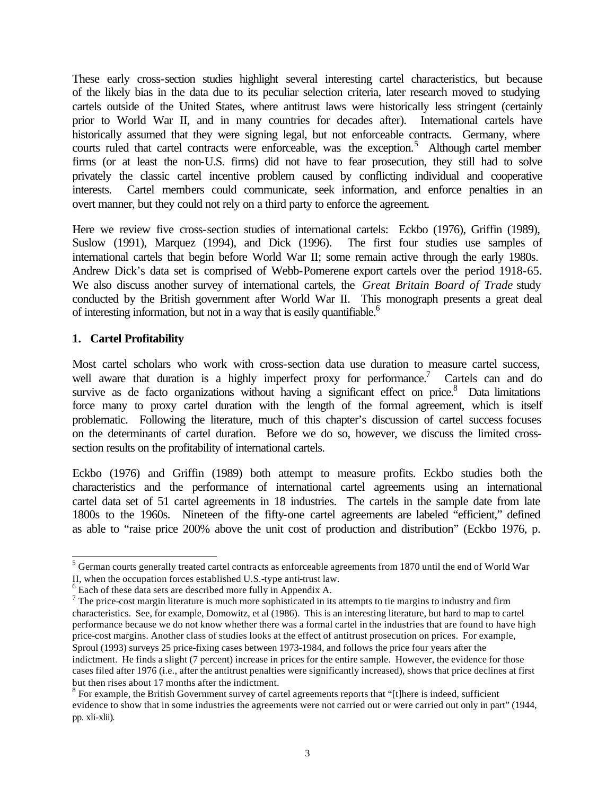These early cross-section studies highlight several interesting cartel characteristics, but because of the likely bias in the data due to its peculiar selection criteria, later research moved to studying cartels outside of the United States, where antitrust laws were historically less stringent (certainly prior to World War II, and in many countries for decades after). International cartels have historically assumed that they were signing legal, but not enforceable contracts. Germany, where courts ruled that cartel contracts were enforceable, was the exception.<sup>5</sup> Although cartel member firms (or at least the non-U.S. firms) did not have to fear prosecution, they still had to solve privately the classic cartel incentive problem caused by conflicting individual and cooperative interests. Cartel members could communicate, seek information, and enforce penalties in an overt manner, but they could not rely on a third party to enforce the agreement.

Here we review five cross-section studies of international cartels: Eckbo (1976), Griffin (1989), Suslow (1991), Marquez (1994), and Dick (1996). The first four studies use samples of international cartels that begin before World War II; some remain active through the early 1980s. Andrew Dick's data set is comprised of Webb-Pomerene export cartels over the period 1918-65. We also discuss another survey of international cartels, the *Great Britain Board of Trade* study conducted by the British government after World War II. This monograph presents a great deal of interesting information, but not in a way that is easily quantifiable.<sup>6</sup>

#### **1. Cartel Profitability**

Most cartel scholars who work with cross-section data use duration to measure cartel success, well aware that duration is a highly imperfect proxy for performance.<sup>7</sup> Cartels can and do survive as de facto organizations without having a significant effect on price.<sup>8</sup> Data limitations force many to proxy cartel duration with the length of the formal agreement, which is itself problematic. Following the literature, much of this chapter's discussion of cartel success focuses on the determinants of cartel duration. Before we do so, however, we discuss the limited crosssection results on the profitability of international cartels.

Eckbo (1976) and Griffin (1989) both attempt to measure profits. Eckbo studies both the characteristics and the performance of international cartel agreements using an international cartel data set of 51 cartel agreements in 18 industries. The cartels in the sample date from late 1800s to the 1960s. Nineteen of the fifty-one cartel agreements are labeled "efficient," defined as able to "raise price 200% above the unit cost of production and distribution" (Eckbo 1976, p.

 5 German courts generally treated cartel contracts as enforceable agreements from 1870 until the end of World War II, when the occupation forces established U.S.-type anti-trust law.

<sup>&</sup>lt;sup>6</sup> Each of these data sets are described more fully in Appendix A.

 $<sup>7</sup>$  The price-cost margin literature is much more sophisticated in its attempts to tie margins to industry and firm</sup> characteristics. See, for example, Domowitz, et al (1986). This is an interesting literature, but hard to map to cartel performance because we do not know whether there was a formal cartel in the industries that are found to have high price-cost margins. Another class of studies looks at the effect of antitrust prosecution on prices. For example, Sproul (1993) surveys 25 price-fixing cases between 1973-1984, and follows the price four years after the indictment. He finds a slight (7 percent) increase in prices for the entire sample. However, the evidence for those cases filed after 1976 (i.e., after the antitrust penalties were significantly increased), shows that price declines at first but then rises about 17 months after the indictment.

 $8$  For example, the British Government survey of cartel agreements reports that "[t]here is indeed, sufficient evidence to show that in some industries the agreements were not carried out or were carried out only in part" (1944, pp. xli-xlii).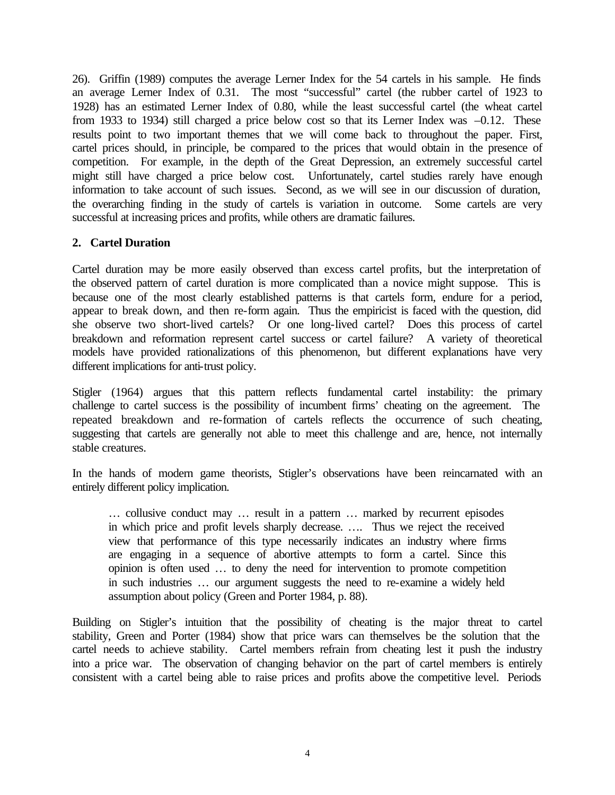26). Griffin (1989) computes the average Lerner Index for the 54 cartels in his sample. He finds an average Lerner Index of 0.31. The most "successful" cartel (the rubber cartel of 1923 to 1928) has an estimated Lerner Index of 0.80, while the least successful cartel (the wheat cartel from 1933 to 1934) still charged a price below cost so that its Lerner Index was –0.12. These results point to two important themes that we will come back to throughout the paper. First, cartel prices should, in principle, be compared to the prices that would obtain in the presence of competition. For example, in the depth of the Great Depression, an extremely successful cartel might still have charged a price below cost. Unfortunately, cartel studies rarely have enough information to take account of such issues. Second, as we will see in our discussion of duration, the overarching finding in the study of cartels is variation in outcome. Some cartels are very successful at increasing prices and profits, while others are dramatic failures.

#### **2. Cartel Duration**

Cartel duration may be more easily observed than excess cartel profits, but the interpretation of the observed pattern of cartel duration is more complicated than a novice might suppose. This is because one of the most clearly established patterns is that cartels form, endure for a period, appear to break down, and then re-form again. Thus the empiricist is faced with the question, did she observe two short-lived cartels? Or one long-lived cartel? Does this process of cartel breakdown and reformation represent cartel success or cartel failure? A variety of theoretical models have provided rationalizations of this phenomenon, but different explanations have very different implications for anti-trust policy.

Stigler (1964) argues that this pattern reflects fundamental cartel instability: the primary challenge to cartel success is the possibility of incumbent firms' cheating on the agreement. The repeated breakdown and re-formation of cartels reflects the occurrence of such cheating, suggesting that cartels are generally not able to meet this challenge and are, hence, not internally stable creatures.

In the hands of modern game theorists, Stigler's observations have been reincarnated with an entirely different policy implication.

… collusive conduct may … result in a pattern … marked by recurrent episodes in which price and profit levels sharply decrease. …. Thus we reject the received view that performance of this type necessarily indicates an industry where firms are engaging in a sequence of abortive attempts to form a cartel. Since this opinion is often used … to deny the need for intervention to promote competition in such industries … our argument suggests the need to re-examine a widely held assumption about policy (Green and Porter 1984, p. 88).

Building on Stigler's intuition that the possibility of cheating is the major threat to cartel stability, Green and Porter (1984) show that price wars can themselves be the solution that the cartel needs to achieve stability. Cartel members refrain from cheating lest it push the industry into a price war. The observation of changing behavior on the part of cartel members is entirely consistent with a cartel being able to raise prices and profits above the competitive level. Periods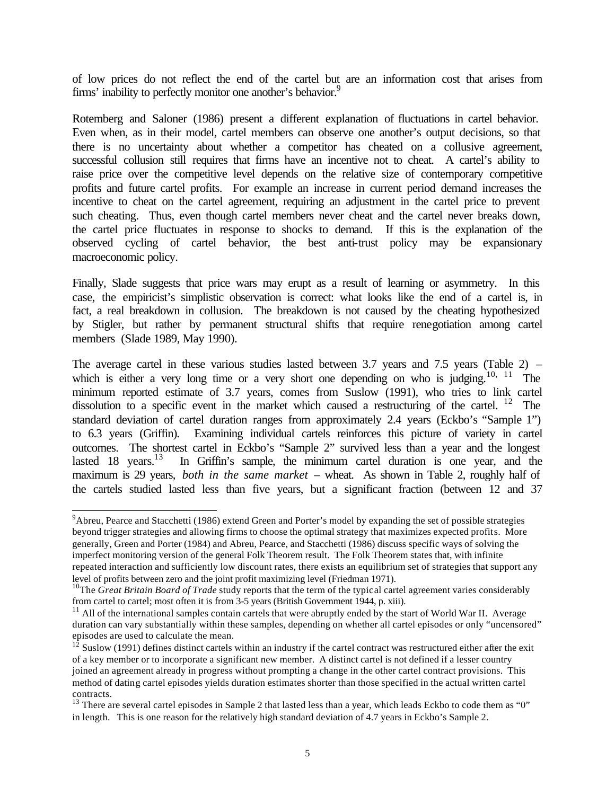of low prices do not reflect the end of the cartel but are an information cost that arises from firms' inability to perfectly monitor one another's behavior.<sup>9</sup>

Rotemberg and Saloner (1986) present a different explanation of fluctuations in cartel behavior. Even when, as in their model, cartel members can observe one another's output decisions, so that there is no uncertainty about whether a competitor has cheated on a collusive agreement, successful collusion still requires that firms have an incentive not to cheat. A cartel's ability to raise price over the competitive level depends on the relative size of contemporary competitive profits and future cartel profits. For example an increase in current period demand increases the incentive to cheat on the cartel agreement, requiring an adjustment in the cartel price to prevent such cheating. Thus, even though cartel members never cheat and the cartel never breaks down, the cartel price fluctuates in response to shocks to demand. If this is the explanation of the observed cycling of cartel behavior, the best anti-trust policy may be expansionary macroeconomic policy.

Finally, Slade suggests that price wars may erupt as a result of learning or asymmetry. In this case, the empiricist's simplistic observation is correct: what looks like the end of a cartel is, in fact, a real breakdown in collusion. The breakdown is not caused by the cheating hypothesized by Stigler, but rather by permanent structural shifts that require renegotiation among cartel members (Slade 1989, May 1990).

The average cartel in these various studies lasted between 3.7 years and 7.5 years (Table 2) – which is either a very long time or a very short one depending on who is judging.<sup>10, 11</sup> The minimum reported estimate of 3.7 years, comes from Suslow (1991), who tries to link cartel dissolution to a specific event in the market which caused a restructuring of the cartel. <sup>12</sup> The standard deviation of cartel duration ranges from approximately 2.4 years (Eckbo's "Sample 1") to 6.3 years (Griffin). Examining individual cartels reinforces this picture of variety in cartel outcomes. The shortest cartel in Eckbo's "Sample 2" survived less than a year and the longest lasted 18 years.<sup>13</sup> In Griffin's sample, the minimum cartel duration is one year, and the maximum is 29 years, *both in the same market* – wheat. As shown in Table 2, roughly half of the cartels studied lasted less than five years, but a significant fraction (between 12 and 37

 $9^9$ Abreu, Pearce and Stacchetti (1986) extend Green and Porter's model by expanding the set of possible strategies beyond trigger strategies and allowing firms to choose the optimal strategy that maximizes expected profits. More generally, Green and Porter (1984) and Abreu, Pearce, and Stacchetti (1986) discuss specific ways of solving the imperfect monitoring version of the general Folk Theorem result. The Folk Theorem states that, with infinite repeated interaction and sufficiently low discount rates, there exists an equilibrium set of strategies that support any level of profits between zero and the joint profit maximizing level (Friedman 1971).

<sup>&</sup>lt;sup>10</sup>The *Great Britain Board of Trade* study reports that the term of the typical cartel agreement varies considerably from cartel to cartel; most often it is from 3-5 years (British Government 1944, p. xiii).

 $11$  All of the international samples contain cartels that were abruptly ended by the start of World War II. Average duration can vary substantially within these samples, depending on whether all cartel episodes or only "uncensored" episodes are used to calculate the mean.

 $1^2$  Suslow (1991) defines distinct cartels within an industry if the cartel contract was restructured either after the exit of a key member or to incorporate a significant new member. A distinct cartel is not defined if a lesser country joined an agreement already in progress without prompting a change in the other cartel contract provisions. This method of dating cartel episodes yields duration estimates shorter than those specified in the actual written cartel contracts.

<sup>&</sup>lt;sup>13</sup> There are several cartel episodes in Sample 2 that lasted less than a year, which leads Eckbo to code them as "0" in length. This is one reason for the relatively high standard deviation of 4.7 years in Eckbo's Sample 2.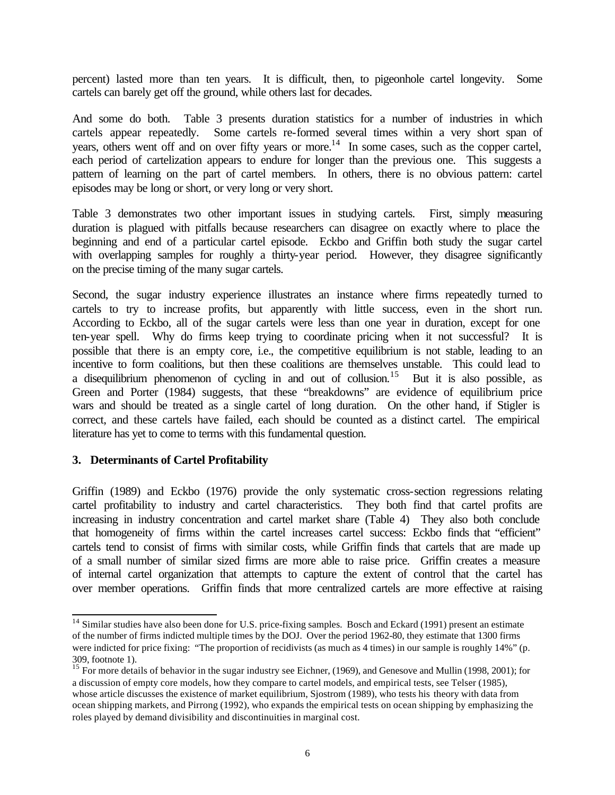percent) lasted more than ten years. It is difficult, then, to pigeonhole cartel longevity. Some cartels can barely get off the ground, while others last for decades.

And some do both. Table 3 presents duration statistics for a number of industries in which cartels appear repeatedly. Some cartels re-formed several times within a very short span of years, others went off and on over fifty years or more.<sup>14</sup> In some cases, such as the copper cartel, each period of cartelization appears to endure for longer than the previous one. This suggests a pattern of learning on the part of cartel members. In others, there is no obvious pattern: cartel episodes may be long or short, or very long or very short.

Table 3 demonstrates two other important issues in studying cartels. First, simply measuring duration is plagued with pitfalls because researchers can disagree on exactly where to place the beginning and end of a particular cartel episode. Eckbo and Griffin both study the sugar cartel with overlapping samples for roughly a thirty-year period. However, they disagree significantly on the precise timing of the many sugar cartels.

Second, the sugar industry experience illustrates an instance where firms repeatedly turned to cartels to try to increase profits, but apparently with little success, even in the short run. According to Eckbo, all of the sugar cartels were less than one year in duration, except for one ten-year spell. Why do firms keep trying to coordinate pricing when it not successful? It is possible that there is an empty core, i.e., the competitive equilibrium is not stable, leading to an incentive to form coalitions, but then these coalitions are themselves unstable. This could lead to a disequilibrium phenomenon of cycling in and out of collusion.<sup>15</sup> But it is also possible, as Green and Porter (1984) suggests, that these "breakdowns" are evidence of equilibrium price wars and should be treated as a single cartel of long duration. On the other hand, if Stigler is correct, and these cartels have failed, each should be counted as a distinct cartel. The empirical literature has yet to come to terms with this fundamental question.

#### **3. Determinants of Cartel Profitability**

l

Griffin (1989) and Eckbo (1976) provide the only systematic cross-section regressions relating cartel profitability to industry and cartel characteristics. They both find that cartel profits are increasing in industry concentration and cartel market share (Table 4) They also both conclude that homogeneity of firms within the cartel increases cartel success: Eckbo finds that "efficient" cartels tend to consist of firms with similar costs, while Griffin finds that cartels that are made up of a small number of similar sized firms are more able to raise price. Griffin creates a measure of internal cartel organization that attempts to capture the extent of control that the cartel has over member operations. Griffin finds that more centralized cartels are more effective at raising

 $14$  Similar studies have also been done for U.S. price-fixing samples. Bosch and Eckard (1991) present an estimate of the number of firms indicted multiple times by the DOJ. Over the period 1962-80, they estimate that 1300 firms were indicted for price fixing: "The proportion of recidivists (as much as 4 times) in our sample is roughly 14%" (p. 309, footnote 1).

<sup>&</sup>lt;sup>15</sup> For more details of behavior in the sugar industry see Eichner, (1969), and Genesove and Mullin (1998, 2001); for a discussion of empty core models, how they compare to cartel models, and empirical tests, see Telser (1985), whose article discusses the existence of market equilibrium, Sjostrom (1989), who tests his theory with data from ocean shipping markets, and Pirrong (1992), who expands the empirical tests on ocean shipping by emphasizing the roles played by demand divisibility and discontinuities in marginal cost.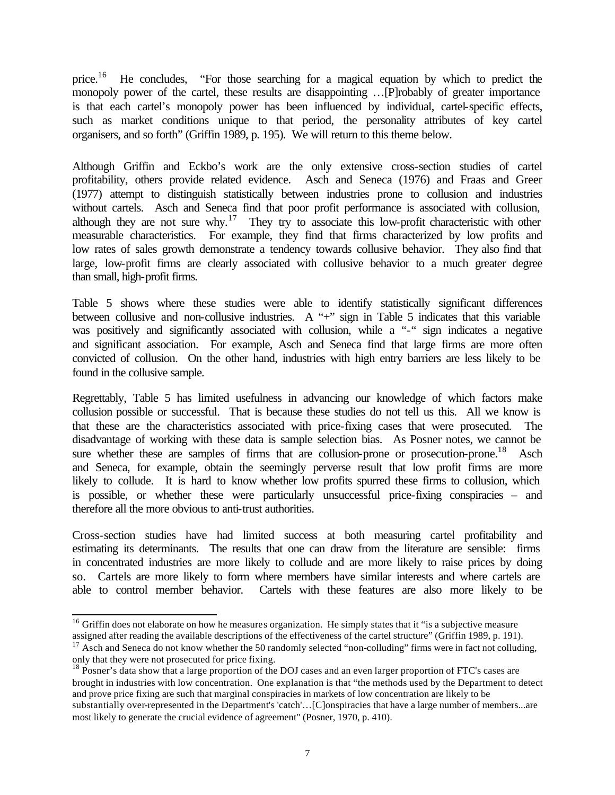price.<sup>16</sup> He concludes, "For those searching for a magical equation by which to predict the monopoly power of the cartel, these results are disappointing …[P]robably of greater importance is that each cartel's monopoly power has been influenced by individual, cartel-specific effects, such as market conditions unique to that period, the personality attributes of key cartel organisers, and so forth" (Griffin 1989, p. 195). We will return to this theme below.

Although Griffin and Eckbo's work are the only extensive cross-section studies of cartel profitability, others provide related evidence. Asch and Seneca (1976) and Fraas and Greer (1977) attempt to distinguish statistically between industries prone to collusion and industries without cartels. Asch and Seneca find that poor profit performance is associated with collusion, although they are not sure why.<sup>17</sup> They try to associate this low-profit characteristic with other measurable characteristics. For example, they find that firms characterized by low profits and low rates of sales growth demonstrate a tendency towards collusive behavior. They also find that large, low-profit firms are clearly associated with collusive behavior to a much greater degree than small, high-profit firms.

Table 5 shows where these studies were able to identify statistically significant differences between collusive and non-collusive industries. A "+" sign in Table 5 indicates that this variable was positively and significantly associated with collusion, while a "-" sign indicates a negative and significant association. For example, Asch and Seneca find that large firms are more often convicted of collusion. On the other hand, industries with high entry barriers are less likely to be found in the collusive sample.

Regrettably, Table 5 has limited usefulness in advancing our knowledge of which factors make collusion possible or successful. That is because these studies do not tell us this. All we know is that these are the characteristics associated with price-fixing cases that were prosecuted. The disadvantage of working with these data is sample selection bias. As Posner notes, we cannot be sure whether these are samples of firms that are collusion-prone or prosecution-prone.<sup>18</sup> Asch and Seneca, for example, obtain the seemingly perverse result that low profit firms are more likely to collude. It is hard to know whether low profits spurred these firms to collusion, which is possible, or whether these were particularly unsuccessful price-fixing conspiracies – and therefore all the more obvious to anti-trust authorities.

Cross-section studies have had limited success at both measuring cartel profitability and estimating its determinants. The results that one can draw from the literature are sensible: firms in concentrated industries are more likely to collude and are more likely to raise prices by doing so. Cartels are more likely to form where members have similar interests and where cartels are able to control member behavior. Cartels with these features are also more likely to be

 $16$  Griffin does not elaborate on how he measures organization. He simply states that it "is a subjective measure assigned after reading the available descriptions of the effectiveness of the cartel structure" (Griffin 1989, p. 191).

 $17$  Asch and Seneca do not know whether the 50 randomly selected "non-colluding" firms were in fact not colluding, only that they were not prosecuted for price fixing.

<sup>&</sup>lt;sup>18</sup> Posner's data show that a large proportion of the DOJ cases and an even larger proportion of FTC's cases are brought in industries with low concentration. One explanation is that "the methods used by the Department to detect and prove price fixing are such that marginal conspiracies in markets of low concentration are likely to be substantially over-represented in the Department's 'catch'…[C]onspiracies that have a large number of members...are most likely to generate the crucial evidence of agreement" (Posner, 1970, p. 410).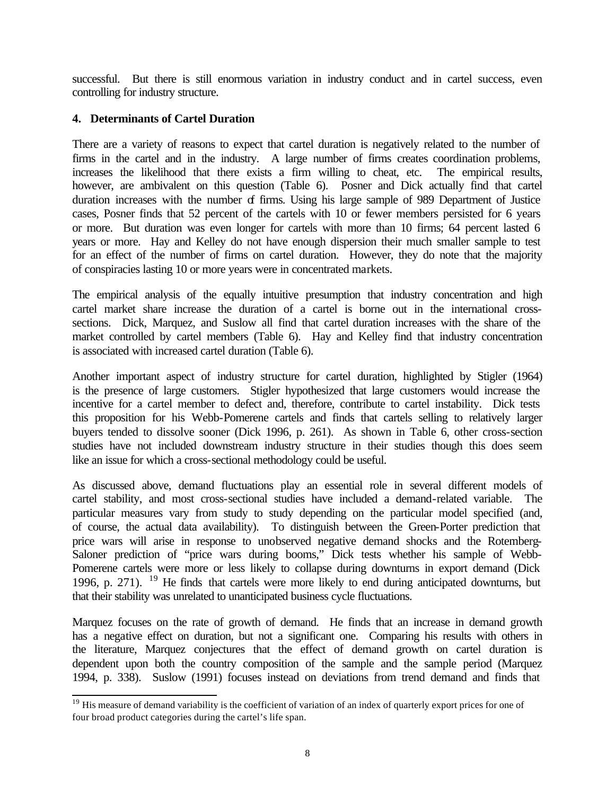successful. But there is still enormous variation in industry conduct and in cartel success, even controlling for industry structure.

#### **4. Determinants of Cartel Duration**

There are a variety of reasons to expect that cartel duration is negatively related to the number of firms in the cartel and in the industry. A large number of firms creates coordination problems, increases the likelihood that there exists a firm willing to cheat, etc. The empirical results, however, are ambivalent on this question (Table 6). Posner and Dick actually find that cartel duration increases with the number of firms. Using his large sample of 989 Department of Justice cases, Posner finds that 52 percent of the cartels with 10 or fewer members persisted for 6 years or more. But duration was even longer for cartels with more than 10 firms; 64 percent lasted 6 years or more. Hay and Kelley do not have enough dispersion their much smaller sample to test for an effect of the number of firms on cartel duration. However, they do note that the majority of conspiracies lasting 10 or more years were in concentrated markets.

The empirical analysis of the equally intuitive presumption that industry concentration and high cartel market share increase the duration of a cartel is borne out in the international crosssections. Dick, Marquez, and Suslow all find that cartel duration increases with the share of the market controlled by cartel members (Table 6). Hay and Kelley find that industry concentration is associated with increased cartel duration (Table 6).

Another important aspect of industry structure for cartel duration, highlighted by Stigler (1964) is the presence of large customers. Stigler hypothesized that large customers would increase the incentive for a cartel member to defect and, therefore, contribute to cartel instability. Dick tests this proposition for his Webb-Pomerene cartels and finds that cartels selling to relatively larger buyers tended to dissolve sooner (Dick 1996, p. 261). As shown in Table 6, other cross-section studies have not included downstream industry structure in their studies though this does seem like an issue for which a cross-sectional methodology could be useful.

As discussed above, demand fluctuations play an essential role in several different models of cartel stability, and most cross-sectional studies have included a demand-related variable. The particular measures vary from study to study depending on the particular model specified (and, of course, the actual data availability). To distinguish between the Green-Porter prediction that price wars will arise in response to unobserved negative demand shocks and the Rotemberg-Saloner prediction of "price wars during booms," Dick tests whether his sample of Webb-Pomerene cartels were more or less likely to collapse during downturns in export demand (Dick 1996, p. 271). <sup>19</sup> He finds that cartels were more likely to end during anticipated downturns, but that their stability was unrelated to unanticipated business cycle fluctuations.

Marquez focuses on the rate of growth of demand. He finds that an increase in demand growth has a negative effect on duration, but not a significant one. Comparing his results with others in the literature, Marquez conjectures that the effect of demand growth on cartel duration is dependent upon both the country composition of the sample and the sample period (Marquez 1994, p. 338). Suslow (1991) focuses instead on deviations from trend demand and finds that

l  $19$  His measure of demand variability is the coefficient of variation of an index of quarterly export prices for one of four broad product categories during the cartel's life span.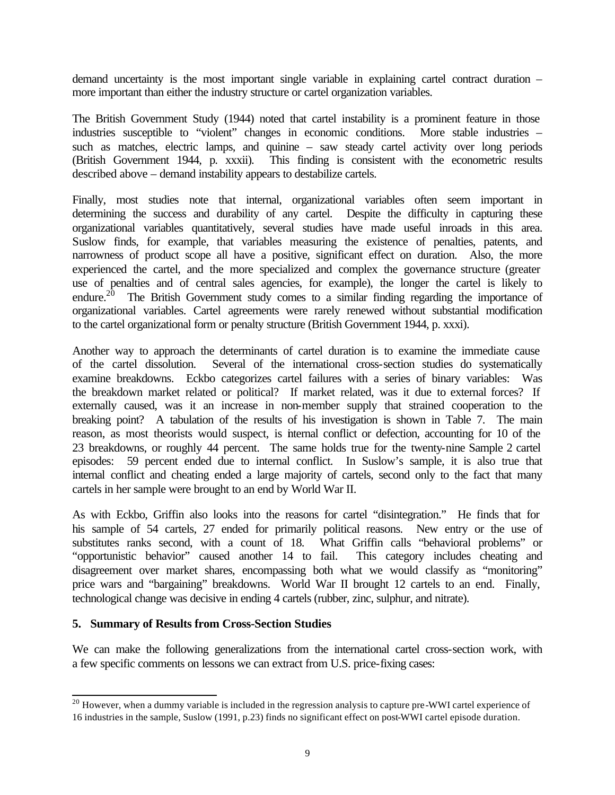demand uncertainty is the most important single variable in explaining cartel contract duration – more important than either the industry structure or cartel organization variables.

The British Government Study (1944) noted that cartel instability is a prominent feature in those industries susceptible to "violent" changes in economic conditions. More stable industries – such as matches, electric lamps, and quinine – saw steady cartel activity over long periods (British Government 1944, p. xxxii). This finding is consistent with the econometric results described above – demand instability appears to destabilize cartels.

Finally, most studies note that internal, organizational variables often seem important in determining the success and durability of any cartel. Despite the difficulty in capturing these organizational variables quantitatively, several studies have made useful inroads in this area. Suslow finds, for example, that variables measuring the existence of penalties, patents, and narrowness of product scope all have a positive, significant effect on duration. Also, the more experienced the cartel, and the more specialized and complex the governance structure (greater use of penalties and of central sales agencies, for example), the longer the cartel is likely to endure.<sup>20</sup> The British Government study comes to a similar finding regarding the importance of organizational variables. Cartel agreements were rarely renewed without substantial modification to the cartel organizational form or penalty structure (British Government 1944, p. xxxi).

Another way to approach the determinants of cartel duration is to examine the immediate cause of the cartel dissolution. Several of the international cross-section studies do systematically examine breakdowns. Eckbo categorizes cartel failures with a series of binary variables: Was the breakdown market related or political? If market related, was it due to external forces? If externally caused, was it an increase in non-member supply that strained cooperation to the breaking point? A tabulation of the results of his investigation is shown in Table 7. The main reason, as most theorists would suspect, is internal conflict or defection, accounting for 10 of the 23 breakdowns, or roughly 44 percent. The same holds true for the twenty-nine Sample 2 cartel episodes: 59 percent ended due to internal conflict. In Suslow's sample, it is also true that internal conflict and cheating ended a large majority of cartels, second only to the fact that many cartels in her sample were brought to an end by World War II.

As with Eckbo, Griffin also looks into the reasons for cartel "disintegration." He finds that for his sample of 54 cartels, 27 ended for primarily political reasons. New entry or the use of substitutes ranks second, with a count of 18. What Griffin calls "behavioral problems" or "opportunistic behavior" caused another 14 to fail. This category includes cheating and disagreement over market shares, encompassing both what we would classify as "monitoring" price wars and "bargaining" breakdowns. World War II brought 12 cartels to an end. Finally, technological change was decisive in ending 4 cartels (rubber, zinc, sulphur, and nitrate).

#### **5. Summary of Results from Cross-Section Studies**

We can make the following generalizations from the international cartel cross-section work, with a few specific comments on lessons we can extract from U.S. price-fixing cases:

l  $^{20}$  However, when a dummy variable is included in the regression analysis to capture pre-WWI cartel experience of 16 industries in the sample, Suslow (1991, p.23) finds no significant effect on post-WWI cartel episode duration.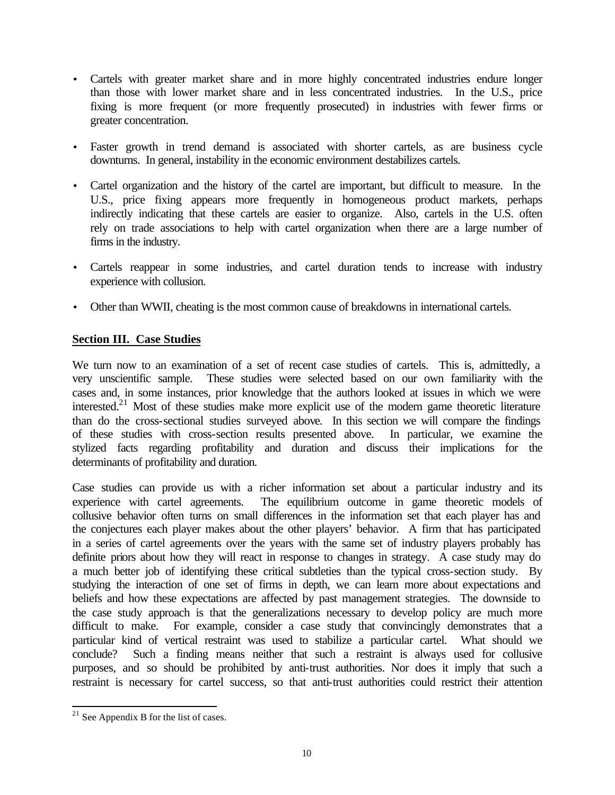- Cartels with greater market share and in more highly concentrated industries endure longer than those with lower market share and in less concentrated industries. In the U.S., price fixing is more frequent (or more frequently prosecuted) in industries with fewer firms or greater concentration.
- Faster growth in trend demand is associated with shorter cartels, as are business cycle downturns. In general, instability in the economic environment destabilizes cartels.
- Cartel organization and the history of the cartel are important, but difficult to measure. In the U.S., price fixing appears more frequently in homogeneous product markets, perhaps indirectly indicating that these cartels are easier to organize. Also, cartels in the U.S. often rely on trade associations to help with cartel organization when there are a large number of firms in the industry.
- Cartels reappear in some industries, and cartel duration tends to increase with industry experience with collusion.
- Other than WWII, cheating is the most common cause of breakdowns in international cartels.

## **Section III. Case Studies**

We turn now to an examination of a set of recent case studies of cartels. This is, admittedly, a very unscientific sample. These studies were selected based on our own familiarity with the cases and, in some instances, prior knowledge that the authors looked at issues in which we were interested.<sup>21</sup> Most of these studies make more explicit use of the modern game theoretic literature than do the cross-sectional studies surveyed above. In this section we will compare the findings of these studies with cross-section results presented above. In particular, we examine the stylized facts regarding profitability and duration and discuss their implications for the determinants of profitability and duration.

Case studies can provide us with a richer information set about a particular industry and its experience with cartel agreements. The equilibrium outcome in game theoretic models of collusive behavior often turns on small differences in the information set that each player has and the conjectures each player makes about the other players' behavior. A firm that has participated in a series of cartel agreements over the years with the same set of industry players probably has definite priors about how they will react in response to changes in strategy. A case study may do a much better job of identifying these critical subtleties than the typical cross-section study. By studying the interaction of one set of firms in depth, we can learn more about expectations and beliefs and how these expectations are affected by past management strategies. The downside to the case study approach is that the generalizations necessary to develop policy are much more difficult to make. For example, consider a case study that convincingly demonstrates that a particular kind of vertical restraint was used to stabilize a particular cartel. What should we conclude? Such a finding means neither that such a restraint is always used for collusive purposes, and so should be prohibited by anti-trust authorities. Nor does it imply that such a restraint is necessary for cartel success, so that anti-trust authorities could restrict their attention

 $2<sup>1</sup>$  See Appendix B for the list of cases.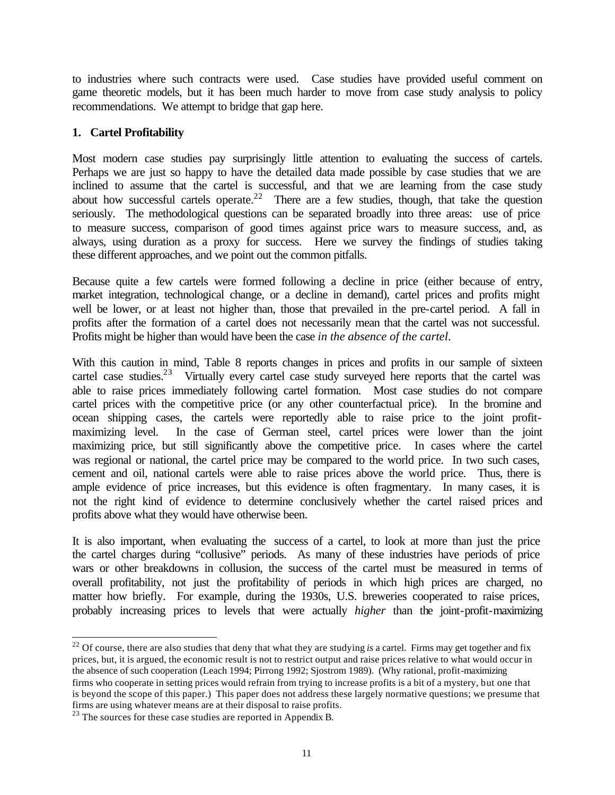to industries where such contracts were used. Case studies have provided useful comment on game theoretic models, but it has been much harder to move from case study analysis to policy recommendations. We attempt to bridge that gap here.

### **1. Cartel Profitability**

Most modern case studies pay surprisingly little attention to evaluating the success of cartels. Perhaps we are just so happy to have the detailed data made possible by case studies that we are inclined to assume that the cartel is successful, and that we are learning from the case study about how successful cartels operate.<sup>22</sup> There are a few studies, though, that take the question seriously. The methodological questions can be separated broadly into three areas: use of price to measure success, comparison of good times against price wars to measure success, and, as always, using duration as a proxy for success. Here we survey the findings of studies taking these different approaches, and we point out the common pitfalls.

Because quite a few cartels were formed following a decline in price (either because of entry, market integration, technological change, or a decline in demand), cartel prices and profits might well be lower, or at least not higher than, those that prevailed in the pre-cartel period. A fall in profits after the formation of a cartel does not necessarily mean that the cartel was not successful. Profits might be higher than would have been the case *in the absence of the cartel*.

With this caution in mind, Table 8 reports changes in prices and profits in our sample of sixteen cartel case studies.<sup>23</sup> Virtually every cartel case study surveyed here reports that the cartel was able to raise prices immediately following cartel formation. Most case studies do not compare cartel prices with the competitive price (or any other counterfactual price). In the bromine and ocean shipping cases, the cartels were reportedly able to raise price to the joint profitmaximizing level. In the case of German steel, cartel prices were lower than the joint maximizing price, but still significantly above the competitive price. In cases where the cartel was regional or national, the cartel price may be compared to the world price. In two such cases, cement and oil, national cartels were able to raise prices above the world price. Thus, there is ample evidence of price increases, but this evidence is often fragmentary. In many cases, it is not the right kind of evidence to determine conclusively whether the cartel raised prices and profits above what they would have otherwise been.

It is also important, when evaluating the success of a cartel, to look at more than just the price the cartel charges during "collusive" periods. As many of these industries have periods of price wars or other breakdowns in collusion, the success of the cartel must be measured in terms of overall profitability, not just the profitability of periods in which high prices are charged, no matter how briefly. For example, during the 1930s, U.S. breweries cooperated to raise prices, probably increasing prices to levels that were actually *higher* than the joint-profit-maximizing

 $22^2$  Of course, there are also studies that deny that what they are studying *is* a cartel. Firms may get together and fix prices, but, it is argued, the economic result is not to restrict output and raise prices relative to what would occur in the absence of such cooperation (Leach 1994; Pirrong 1992; Sjostrom 1989). (Why rational, profit-maximizing firms who cooperate in setting prices would refrain from trying to increase profits is a bit of a mystery, but one that is beyond the scope of this paper.) This paper does not address these largely normative questions; we presume that firms are using whatever means are at their disposal to raise profits.

 $23$  The sources for these case studies are reported in Appendix B.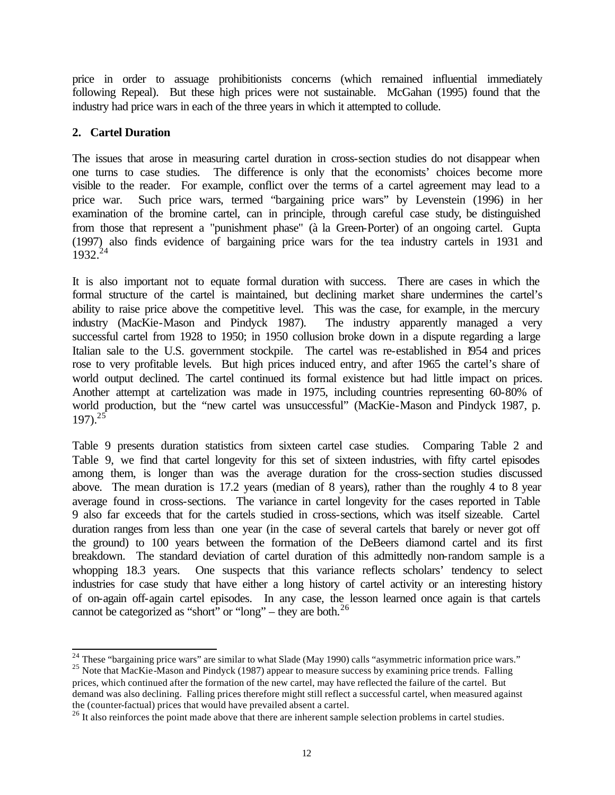price in order to assuage prohibitionists concerns (which remained influential immediately following Repeal). But these high prices were not sustainable. McGahan (1995) found that the industry had price wars in each of the three years in which it attempted to collude.

### **2. Cartel Duration**

The issues that arose in measuring cartel duration in cross-section studies do not disappear when one turns to case studies. The difference is only that the economists' choices become more visible to the reader. For example, conflict over the terms of a cartel agreement may lead to a price war. Such price wars, termed "bargaining price wars" by Levenstein (1996) in her examination of the bromine cartel, can in principle, through careful case study, be distinguished from those that represent a "punishment phase" (à la Green-Porter) of an ongoing cartel. Gupta (1997) also finds evidence of bargaining price wars for the tea industry cartels in 1931 and  $1932^{24}$ 

It is also important not to equate formal duration with success. There are cases in which the formal structure of the cartel is maintained, but declining market share undermines the cartel's ability to raise price above the competitive level. This was the case, for example, in the mercury industry (MacKie-Mason and Pindyck 1987). The industry apparently managed a very successful cartel from 1928 to 1950; in 1950 collusion broke down in a dispute regarding a large Italian sale to the U.S. government stockpile. The cartel was re-established in 1954 and prices rose to very profitable levels. But high prices induced entry, and after 1965 the cartel's share of world output declined. The cartel continued its formal existence but had little impact on prices. Another attempt at cartelization was made in 1975, including countries representing 60-80% of world production, but the "new cartel was unsuccessful" (MacKie-Mason and Pindyck 1987, p.  $197)$ <sup>25</sup>

Table 9 presents duration statistics from sixteen cartel case studies. Comparing Table 2 and Table 9, we find that cartel longevity for this set of sixteen industries, with fifty cartel episodes among them, is longer than was the average duration for the cross-section studies discussed above. The mean duration is 17.2 years (median of 8 years), rather than the roughly 4 to 8 year average found in cross-sections. The variance in cartel longevity for the cases reported in Table 9 also far exceeds that for the cartels studied in cross-sections, which was itself sizeable. Cartel duration ranges from less than one year (in the case of several cartels that barely or never got off the ground) to 100 years between the formation of the DeBeers diamond cartel and its first breakdown. The standard deviation of cartel duration of this admittedly non-random sample is a whopping 18.3 years. One suspects that this variance reflects scholars' tendency to select industries for case study that have either a long history of cartel activity or an interesting history of on-again off-again cartel episodes. In any case, the lesson learned once again is that cartels cannot be categorized as "short" or "long" – they are both. $^{26}$ 

l  $^{24}$  These "bargaining price wars" are similar to what Slade (May 1990) calls "asymmetric information price wars."

<sup>&</sup>lt;sup>25</sup> Note that MacKie-Mason and Pindyck (1987) appear to measure success by examining price trends. Falling prices, which continued after the formation of the new cartel, may have reflected the failure of the cartel. But demand was also declining. Falling prices therefore might still reflect a successful cartel, when measured against the (counter-factual) prices that would have prevailed absent a cartel.

<sup>&</sup>lt;sup>26</sup> It also reinforces the point made above that there are inherent sample selection problems in cartel studies.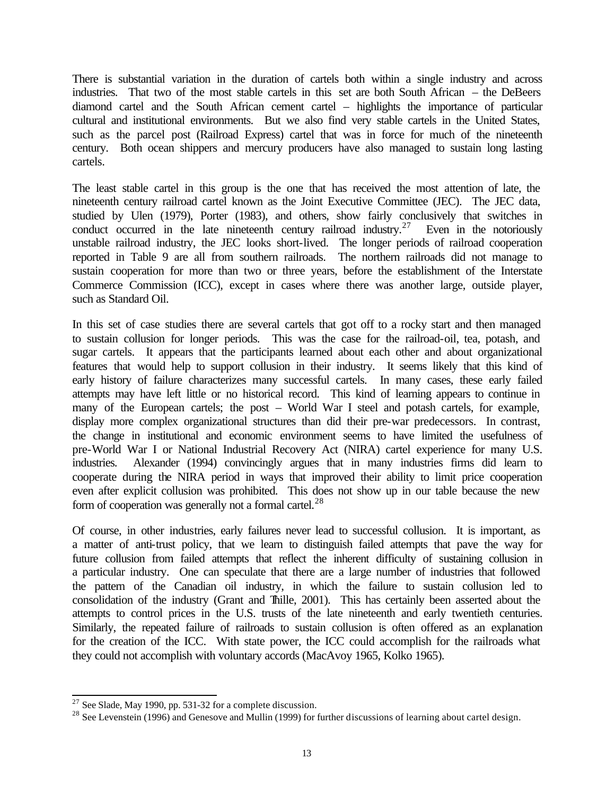There is substantial variation in the duration of cartels both within a single industry and across industries. That two of the most stable cartels in this set are both South African – the DeBeers diamond cartel and the South African cement cartel – highlights the importance of particular cultural and institutional environments. But we also find very stable cartels in the United States, such as the parcel post (Railroad Express) cartel that was in force for much of the nineteenth century. Both ocean shippers and mercury producers have also managed to sustain long lasting cartels.

The least stable cartel in this group is the one that has received the most attention of late, the nineteenth century railroad cartel known as the Joint Executive Committee (JEC). The JEC data, studied by Ulen (1979), Porter (1983), and others, show fairly conclusively that switches in conduct occurred in the late nineteenth century railroad industry.<sup>27</sup> Even in the notoriously unstable railroad industry, the JEC looks short-lived. The longer periods of railroad cooperation reported in Table 9 are all from southern railroads. The northern railroads did not manage to sustain cooperation for more than two or three years, before the establishment of the Interstate Commerce Commission (ICC), except in cases where there was another large, outside player, such as Standard Oil.

In this set of case studies there are several cartels that got off to a rocky start and then managed to sustain collusion for longer periods. This was the case for the railroad-oil, tea, potash, and sugar cartels. It appears that the participants learned about each other and about organizational features that would help to support collusion in their industry. It seems likely that this kind of early history of failure characterizes many successful cartels. In many cases, these early failed attempts may have left little or no historical record. This kind of learning appears to continue in many of the European cartels; the post – World War I steel and potash cartels, for example, display more complex organizational structures than did their pre-war predecessors. In contrast, the change in institutional and economic environment seems to have limited the usefulness of pre-World War I or National Industrial Recovery Act (NIRA) cartel experience for many U.S. industries. Alexander (1994) convincingly argues that in many industries firms did learn to cooperate during the NIRA period in ways that improved their ability to limit price cooperation even after explicit collusion was prohibited. This does not show up in our table because the new form of cooperation was generally not a formal cartel. $^{28}$ 

Of course, in other industries, early failures never lead to successful collusion. It is important, as a matter of anti-trust policy, that we learn to distinguish failed attempts that pave the way for future collusion from failed attempts that reflect the inherent difficulty of sustaining collusion in a particular industry. One can speculate that there are a large number of industries that followed the pattern of the Canadian oil industry, in which the failure to sustain collusion led to consolidation of the industry (Grant and Thille, 2001). This has certainly been asserted about the attempts to control prices in the U.S. trusts of the late nineteenth and early twentieth centuries. Similarly, the repeated failure of railroads to sustain collusion is often offered as an explanation for the creation of the ICC. With state power, the ICC could accomplish for the railroads what they could not accomplish with voluntary accords (MacAvoy 1965, Kolko 1965).

 $2^7$  See Slade, May 1990, pp. 531-32 for a complete discussion.

<sup>&</sup>lt;sup>28</sup> See Levenstein (1996) and Genesove and Mullin (1999) for further discussions of learning about cartel design.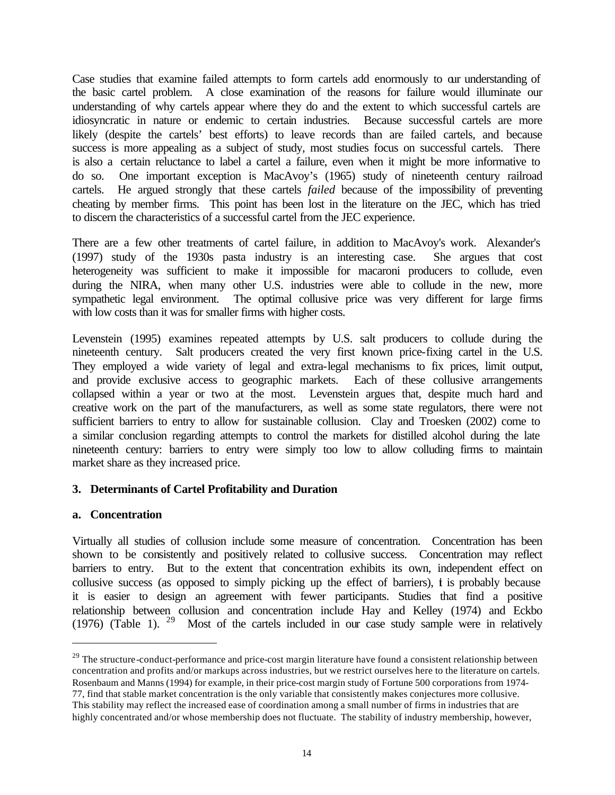Case studies that examine failed attempts to form cartels add enormously to our understanding of the basic cartel problem. A close examination of the reasons for failure would illuminate our understanding of why cartels appear where they do and the extent to which successful cartels are idiosyncratic in nature or endemic to certain industries. Because successful cartels are more likely (despite the cartels' best efforts) to leave records than are failed cartels, and because success is more appealing as a subject of study, most studies focus on successful cartels. There is also a certain reluctance to label a cartel a failure, even when it might be more informative to do so. One important exception is MacAvoy's (1965) study of nineteenth century railroad cartels. He argued strongly that these cartels *failed* because of the impossibility of preventing cheating by member firms. This point has been lost in the literature on the JEC, which has tried to discern the characteristics of a successful cartel from the JEC experience.

There are a few other treatments of cartel failure, in addition to MacAvoy's work. Alexander's (1997) study of the 1930s pasta industry is an interesting case. She argues that cost heterogeneity was sufficient to make it impossible for macaroni producers to collude, even during the NIRA, when many other U.S. industries were able to collude in the new, more sympathetic legal environment. The optimal collusive price was very different for large firms with low costs than it was for smaller firms with higher costs.

Levenstein (1995) examines repeated attempts by U.S. salt producers to collude during the nineteenth century. Salt producers created the very first known price-fixing cartel in the U.S. They employed a wide variety of legal and extra-legal mechanisms to fix prices, limit output, and provide exclusive access to geographic markets. Each of these collusive arrangements collapsed within a year or two at the most. Levenstein argues that, despite much hard and creative work on the part of the manufacturers, as well as some state regulators, there were not sufficient barriers to entry to allow for sustainable collusion. Clay and Troesken (2002) come to a similar conclusion regarding attempts to control the markets for distilled alcohol during the late nineteenth century: barriers to entry were simply too low to allow colluding firms to maintain market share as they increased price.

#### **3. Determinants of Cartel Profitability and Duration**

#### **a. Concentration**

l

Virtually all studies of collusion include some measure of concentration. Concentration has been shown to be consistently and positively related to collusive success. Concentration may reflect barriers to entry. But to the extent that concentration exhibits its own, independent effect on collusive success (as opposed to simply picking up the effect of barriers),  $\dot{t}$  is probably because it is easier to design an agreement with fewer participants. Studies that find a positive relationship between collusion and concentration include Hay and Kelley (1974) and Eckbo  $(1976)$  (Table 1). <sup>29</sup> Most of the cartels included in our case study sample were in relatively

 $29$  The structure-conduct-performance and price-cost margin literature have found a consistent relationship between concentration and profits and/or markups across industries, but we restrict ourselves here to the literature on cartels. Rosenbaum and Manns (1994) for example, in their price-cost margin study of Fortune 500 corporations from 1974- 77, find that stable market concentration is the only variable that consistently makes conjectures more collusive.

This stability may reflect the increased ease of coordination among a small number of firms in industries that are highly concentrated and/or whose membership does not fluctuate. The stability of industry membership, however,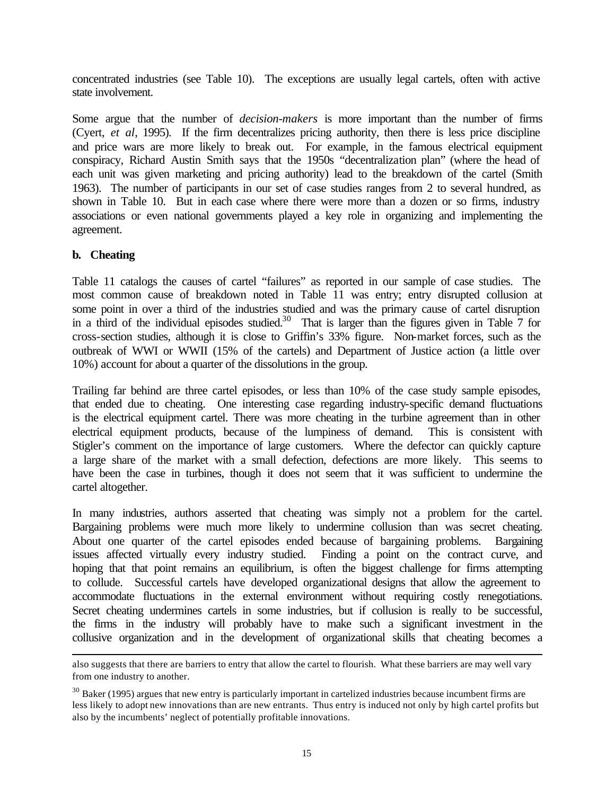concentrated industries (see Table 10). The exceptions are usually legal cartels, often with active state involvement.

Some argue that the number of *decision-makers* is more important than the number of firms (Cyert, *et al*, 1995). If the firm decentralizes pricing authority, then there is less price discipline and price wars are more likely to break out. For example, in the famous electrical equipment conspiracy, Richard Austin Smith says that the 1950s "decentralization plan" (where the head of each unit was given marketing and pricing authority) lead to the breakdown of the cartel (Smith 1963). The number of participants in our set of case studies ranges from 2 to several hundred, as shown in Table 10. But in each case where there were more than a dozen or so firms, industry associations or even national governments played a key role in organizing and implementing the agreement.

#### **b. Cheating**

l

Table 11 catalogs the causes of cartel "failures" as reported in our sample of case studies. The most common cause of breakdown noted in Table 11 was entry; entry disrupted collusion at some point in over a third of the industries studied and was the primary cause of cartel disruption in a third of the individual episodes studied.<sup>30</sup> That is larger than the figures given in Table  $\overline{7}$  for cross-section studies, although it is close to Griffin's 33% figure. Non-market forces, such as the outbreak of WWI or WWII (15% of the cartels) and Department of Justice action (a little over 10%) account for about a quarter of the dissolutions in the group.

Trailing far behind are three cartel episodes, or less than 10% of the case study sample episodes, that ended due to cheating. One interesting case regarding industry-specific demand fluctuations is the electrical equipment cartel. There was more cheating in the turbine agreement than in other electrical equipment products, because of the lumpiness of demand. This is consistent with Stigler's comment on the importance of large customers. Where the defector can quickly capture a large share of the market with a small defection, defections are more likely. This seems to have been the case in turbines, though it does not seem that it was sufficient to undermine the cartel altogether.

In many industries, authors asserted that cheating was simply not a problem for the cartel. Bargaining problems were much more likely to undermine collusion than was secret cheating. About one quarter of the cartel episodes ended because of bargaining problems. Bargaining issues affected virtually every industry studied. Finding a point on the contract curve, and hoping that that point remains an equilibrium, is often the biggest challenge for firms attempting to collude. Successful cartels have developed organizational designs that allow the agreement to accommodate fluctuations in the external environment without requiring costly renegotiations. Secret cheating undermines cartels in some industries, but if collusion is really to be successful, the firms in the industry will probably have to make such a significant investment in the collusive organization and in the development of organizational skills that cheating becomes a

also suggests that there are barriers to entry that allow the cartel to flourish. What these barriers are may well vary from one industry to another.

 $30$  Baker (1995) argues that new entry is particularly important in cartelized industries because incumbent firms are less likely to adopt new innovations than are new entrants. Thus entry is induced not only by high cartel profits but also by the incumbents' neglect of potentially profitable innovations.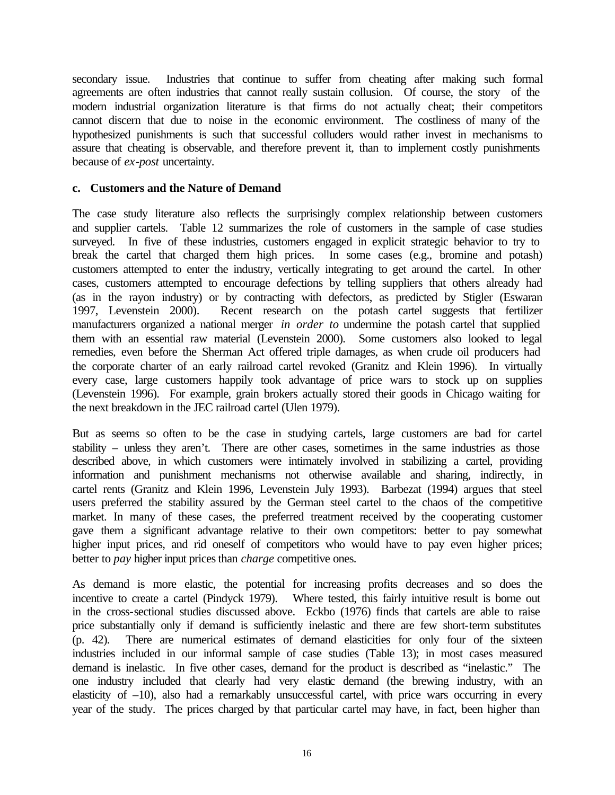secondary issue. Industries that continue to suffer from cheating after making such formal agreements are often industries that cannot really sustain collusion. Of course, the story of the modern industrial organization literature is that firms do not actually cheat; their competitors cannot discern that due to noise in the economic environment. The costliness of many of the hypothesized punishments is such that successful colluders would rather invest in mechanisms to assure that cheating is observable, and therefore prevent it, than to implement costly punishments because of *ex-post* uncertainty.

#### **c. Customers and the Nature of Demand**

The case study literature also reflects the surprisingly complex relationship between customers and supplier cartels. Table 12 summarizes the role of customers in the sample of case studies surveyed. In five of these industries, customers engaged in explicit strategic behavior to try to break the cartel that charged them high prices. In some cases (e.g., bromine and potash) customers attempted to enter the industry, vertically integrating to get around the cartel. In other cases, customers attempted to encourage defections by telling suppliers that others already had (as in the rayon industry) or by contracting with defectors, as predicted by Stigler (Eswaran 1997, Levenstein 2000). Recent research on the potash cartel suggests that fertilizer manufacturers organized a national merger *in order to* undermine the potash cartel that supplied them with an essential raw material (Levenstein 2000). Some customers also looked to legal remedies, even before the Sherman Act offered triple damages, as when crude oil producers had the corporate charter of an early railroad cartel revoked (Granitz and Klein 1996). In virtually every case, large customers happily took advantage of price wars to stock up on supplies (Levenstein 1996). For example, grain brokers actually stored their goods in Chicago waiting for the next breakdown in the JEC railroad cartel (Ulen 1979).

But as seems so often to be the case in studying cartels, large customers are bad for cartel stability – unless they aren't. There are other cases, sometimes in the same industries as those described above, in which customers were intimately involved in stabilizing a cartel, providing information and punishment mechanisms not otherwise available and sharing, indirectly, in cartel rents (Granitz and Klein 1996, Levenstein July 1993). Barbezat (1994) argues that steel users preferred the stability assured by the German steel cartel to the chaos of the competitive market. In many of these cases, the preferred treatment received by the cooperating customer gave them a significant advantage relative to their own competitors: better to pay somewhat higher input prices, and rid oneself of competitors who would have to pay even higher prices; better to *pay* higher input prices than *charge* competitive ones.

As demand is more elastic, the potential for increasing profits decreases and so does the incentive to create a cartel (Pindyck 1979). Where tested, this fairly intuitive result is borne out in the cross-sectional studies discussed above. Eckbo (1976) finds that cartels are able to raise price substantially only if demand is sufficiently inelastic and there are few short-term substitutes (p. 42). There are numerical estimates of demand elasticities for only four of the sixteen industries included in our informal sample of case studies (Table 13); in most cases measured demand is inelastic. In five other cases, demand for the product is described as "inelastic." The one industry included that clearly had very elastic demand (the brewing industry, with an elasticity of –10), also had a remarkably unsuccessful cartel, with price wars occurring in every year of the study. The prices charged by that particular cartel may have, in fact, been higher than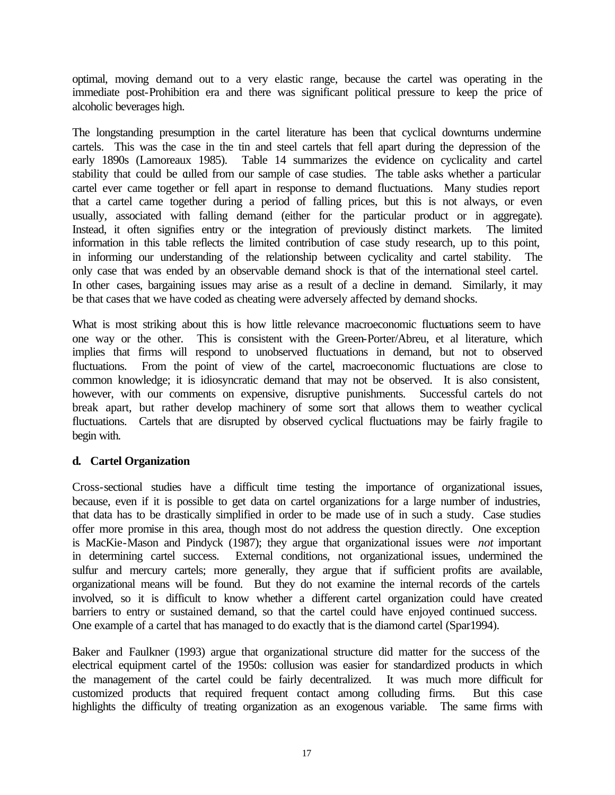optimal, moving demand out to a very elastic range, because the cartel was operating in the immediate post-Prohibition era and there was significant political pressure to keep the price of alcoholic beverages high.

The longstanding presumption in the cartel literature has been that cyclical downturns undermine cartels. This was the case in the tin and steel cartels that fell apart during the depression of the early 1890s (Lamoreaux 1985). Table 14 summarizes the evidence on cyclicality and cartel stability that could be culled from our sample of case studies. The table asks whether a particular cartel ever came together or fell apart in response to demand fluctuations. Many studies report that a cartel came together during a period of falling prices, but this is not always, or even usually, associated with falling demand (either for the particular product or in aggregate). Instead, it often signifies entry or the integration of previously distinct markets. The limited information in this table reflects the limited contribution of case study research, up to this point, in informing our understanding of the relationship between cyclicality and cartel stability. The only case that was ended by an observable demand shock is that of the international steel cartel. In other cases, bargaining issues may arise as a result of a decline in demand. Similarly, it may be that cases that we have coded as cheating were adversely affected by demand shocks.

What is most striking about this is how little relevance macroeconomic fluctuations seem to have one way or the other. This is consistent with the Green-Porter/Abreu, et al literature, which implies that firms will respond to unobserved fluctuations in demand, but not to observed fluctuations. From the point of view of the cartel, macroeconomic fluctuations are close to common knowledge; it is idiosyncratic demand that may not be observed. It is also consistent, however, with our comments on expensive, disruptive punishments. Successful cartels do not break apart, but rather develop machinery of some sort that allows them to weather cyclical fluctuations. Cartels that are disrupted by observed cyclical fluctuations may be fairly fragile to begin with.

### **d. Cartel Organization**

Cross-sectional studies have a difficult time testing the importance of organizational issues, because, even if it is possible to get data on cartel organizations for a large number of industries, that data has to be drastically simplified in order to be made use of in such a study. Case studies offer more promise in this area, though most do not address the question directly. One exception is MacKie-Mason and Pindyck (1987); they argue that organizational issues were *not* important in determining cartel success. External conditions, not organizational issues, undermined the sulfur and mercury cartels; more generally, they argue that if sufficient profits are available, organizational means will be found. But they do not examine the internal records of the cartels involved, so it is difficult to know whether a different cartel organization could have created barriers to entry or sustained demand, so that the cartel could have enjoyed continued success. One example of a cartel that has managed to do exactly that is the diamond cartel (Spar1994).

Baker and Faulkner (1993) argue that organizational structure did matter for the success of the electrical equipment cartel of the 1950s: collusion was easier for standardized products in which the management of the cartel could be fairly decentralized. It was much more difficult for customized products that required frequent contact among colluding firms. But this case highlights the difficulty of treating organization as an exogenous variable. The same firms with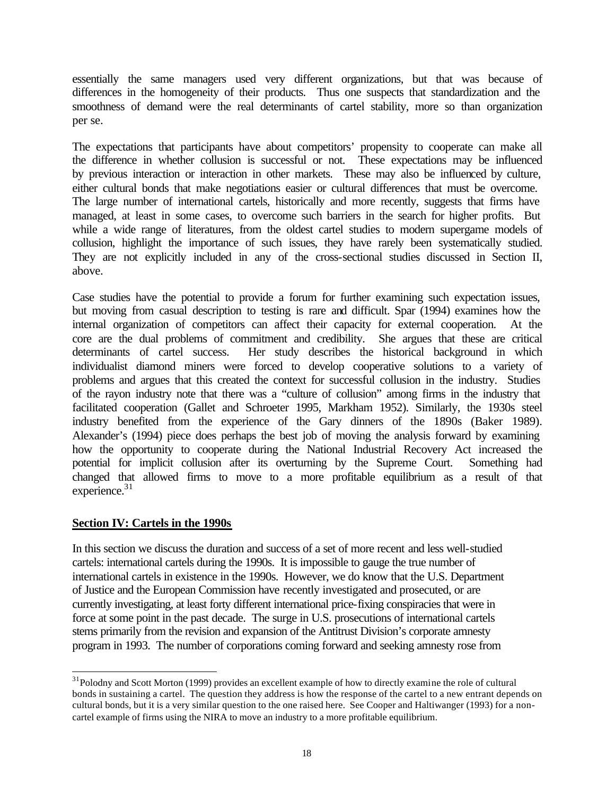essentially the same managers used very different organizations, but that was because of differences in the homogeneity of their products. Thus one suspects that standardization and the smoothness of demand were the real determinants of cartel stability, more so than organization per se.

The expectations that participants have about competitors' propensity to cooperate can make all the difference in whether collusion is successful or not. These expectations may be influenced by previous interaction or interaction in other markets. These may also be influenced by culture, either cultural bonds that make negotiations easier or cultural differences that must be overcome. The large number of international cartels, historically and more recently, suggests that firms have managed, at least in some cases, to overcome such barriers in the search for higher profits. But while a wide range of literatures, from the oldest cartel studies to modern supergame models of collusion, highlight the importance of such issues, they have rarely been systematically studied. They are not explicitly included in any of the cross-sectional studies discussed in Section II, above.

Case studies have the potential to provide a forum for further examining such expectation issues, but moving from casual description to testing is rare and difficult. Spar (1994) examines how the internal organization of competitors can affect their capacity for external cooperation. At the core are the dual problems of commitment and credibility. She argues that these are critical determinants of cartel success. Her study describes the historical background in which individualist diamond miners were forced to develop cooperative solutions to a variety of problems and argues that this created the context for successful collusion in the industry. Studies of the rayon industry note that there was a "culture of collusion" among firms in the industry that facilitated cooperation (Gallet and Schroeter 1995, Markham 1952). Similarly, the 1930s steel industry benefited from the experience of the Gary dinners of the 1890s (Baker 1989). Alexander's (1994) piece does perhaps the best job of moving the analysis forward by examining how the opportunity to cooperate during the National Industrial Recovery Act increased the potential for implicit collusion after its overturning by the Supreme Court. Something had changed that allowed firms to move to a more profitable equilibrium as a result of that experience. $31$ 

#### **Section IV: Cartels in the 1990s**

l

In this section we discuss the duration and success of a set of more recent and less well-studied cartels: international cartels during the 1990s. It is impossible to gauge the true number of international cartels in existence in the 1990s. However, we do know that the U.S. Department of Justice and the European Commission have recently investigated and prosecuted, or are currently investigating, at least forty different international price-fixing conspiracies that were in force at some point in the past decade. The surge in U.S. prosecutions of international cartels stems primarily from the revision and expansion of the Antitrust Division's corporate amnesty program in 1993. The number of corporations coming forward and seeking amnesty rose from

<sup>&</sup>lt;sup>31</sup>Polodny and Scott Morton (1999) provides an excellent example of how to directly examine the role of cultural bonds in sustaining a cartel. The question they address is how the response of the cartel to a new entrant depends on cultural bonds, but it is a very similar question to the one raised here. See Cooper and Haltiwanger (1993) for a noncartel example of firms using the NIRA to move an industry to a more profitable equilibrium.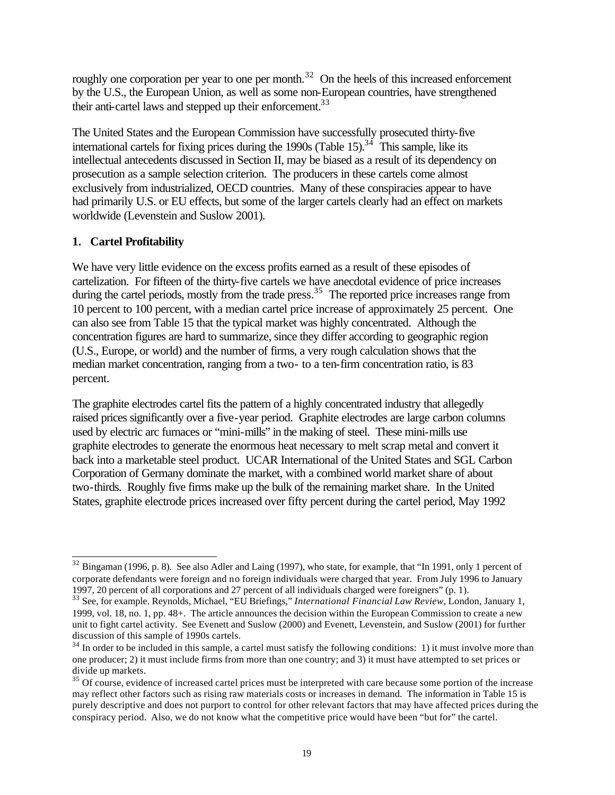roughly one corporation per year to one per month.<sup>32</sup> On the heels of this increased enforcement by the U.S., the European Union, as well as some non-European countries, have strengthened their anti-cartel laws and stepped up their enforcement.<sup>33</sup>

The United States and the European Commission have successfully prosecuted thirty-five international cartels for fixing prices during the 1990s (Table 15).<sup>34</sup> This sample, like its intellectual antecedents discussed in Section II, may be biased as a result of its dependency on prosecution as a sample selection criterion. The producers in these cartels come almost exclusively from industrialized, OECD countries. Many of these conspiracies appear to have had primarily U.S. or EU effects, but some of the larger cartels clearly had an effect on markets worldwide (Levenstein and Suslow 2001).

### **1. Cartel Profitability**

We have very little evidence on the excess profits earned as a result of these episodes of cartelization. For fifteen of the thirty-five cartels we have anecdotal evidence of price increases during the cartel periods, mostly from the trade press.<sup>35</sup> The reported price increases range from 10 percent to 100 percent, with a median cartel price increase of approximately 25 percent. One can also see from Table 15 that the typical market was highly concentrated. Although the concentration figures are hard to summarize, since they differ according to geographic region (U.S., Europe, or world) and the number of firms, a very rough calculation shows that the median market concentration, ranging from a two- to a ten-firm concentration ratio, is 83 percent.

The graphite electrodes cartel fits the pattern of a highly concentrated industry that allegedly raised prices significantly over a five-year period. Graphite electrodes are large carbon columns used by electric arc furnaces or "mini-mills" in the making of steel. These mini-mills use graphite electrodes to generate the enormous heat necessary to melt scrap metal and convert it back into a marketable steel product. UCAR International of the United States and SGL Carbon Corporation of Germany dominate the market, with a combined world market share of about two-thirds. Roughly five firms make up the bulk of the remaining market share. In the United States, graphite electrode prices increased over fifty percent during the cartel period, May 1992

l  $32$  Bingaman (1996, p. 8). See also Adler and Laing (1997), who state, for example, that "In 1991, only 1 percent of corporate defendants were foreign and no foreign individuals were charged that year. From July 1996 to January 1997, 20 percent of all corporations and 27 percent of all individuals charged were foreigners" (p. 1).

<sup>33</sup> See, for example. Reynolds, Michael, "EU Briefings," *International Financial Law Review*, London, January 1, 1999, vol. 18, no. 1, pp. 48+. The article announces the decision within the European Commission to create a new unit to fight cartel activity. See Evenett and Suslow (2000) and Evenett, Levenstein, and Suslow (2001) for further discussion of this sample of 1990s cartels.

 $34$  In order to be included in this sample, a cartel must satisfy the following conditions: 1) it must involve more than one producer; 2) it must include firms from more than one country; and 3) it must have attempted to set prices or divide up markets.

<sup>&</sup>lt;sup>35</sup> Of course, evidence of increased cartel prices must be interpreted with care because some portion of the increase may reflect other factors such as rising raw materials costs or increases in demand. The information in Table 15 is purely descriptive and does not purport to control for other relevant factors that may have affected prices during the conspiracy period. Also, we do not know what the competitive price would have been "but for" the cartel.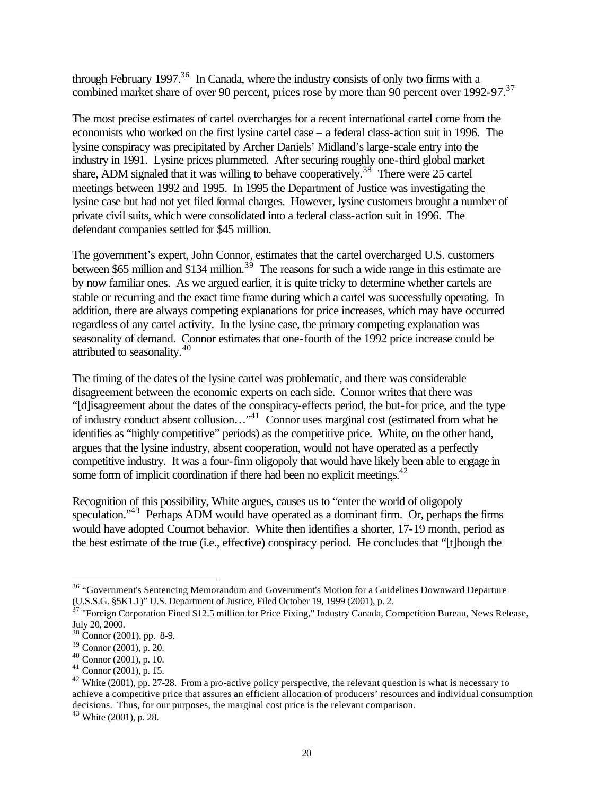through February 1997.<sup>36</sup> In Canada, where the industry consists of only two firms with a combined market share of over 90 percent, prices rose by more than 90 percent over 1992-97.<sup>37</sup>

The most precise estimates of cartel overcharges for a recent international cartel come from the economists who worked on the first lysine cartel case – a federal class-action suit in 1996. The lysine conspiracy was precipitated by Archer Daniels' Midland's large-scale entry into the industry in 1991. Lysine prices plummeted. After securing roughly one-third global market share, ADM signaled that it was willing to behave cooperatively.<sup>38</sup> There were 25 cartel meetings between 1992 and 1995. In 1995 the Department of Justice was investigating the lysine case but had not yet filed formal charges. However, lysine customers brought a number of private civil suits, which were consolidated into a federal class-action suit in 1996. The defendant companies settled for \$45 million.

The government's expert, John Connor, estimates that the cartel overcharged U.S. customers between \$65 million and \$134 million.<sup>39</sup> The reasons for such a wide range in this estimate are by now familiar ones. As we argued earlier, it is quite tricky to determine whether cartels are stable or recurring and the exact time frame during which a cartel was successfully operating. In addition, there are always competing explanations for price increases, which may have occurred regardless of any cartel activity. In the lysine case, the primary competing explanation was seasonality of demand. Connor estimates that one-fourth of the 1992 price increase could be attributed to seasonality.<sup>40</sup>

The timing of the dates of the lysine cartel was problematic, and there was considerable disagreement between the economic experts on each side. Connor writes that there was "[d]isagreement about the dates of the conspiracy-effects period, the but-for price, and the type of industry conduct absent collusion…"<sup>41</sup> Connor uses marginal cost (estimated from what he identifies as "highly competitive" periods) as the competitive price. White, on the other hand, argues that the lysine industry, absent cooperation, would not have operated as a perfectly competitive industry. It was a four-firm oligopoly that would have likely been able to engage in some form of implicit coordination if there had been no explicit meetings. $42$ 

Recognition of this possibility, White argues, causes us to "enter the world of oligopoly speculation."<sup>43</sup> Perhaps ADM would have operated as a dominant firm. Or, perhaps the firms would have adopted Cournot behavior. White then identifies a shorter, 17-19 month, period as the best estimate of the true (i.e., effective) conspiracy period. He concludes that "[t]hough the

<sup>&</sup>lt;sup>36</sup> "Government's Sentencing Memorandum and Government's Motion for a Guidelines Downward Departure (U.S.S.G. §5K1.1)" U.S. Department of Justice, Filed October 19, 1999 (2001), p. 2.

<sup>&</sup>lt;sup>37</sup> "Foreign Corporation Fined \$12.5 million for Price Fixing," Industry Canada, Competition Bureau, News Release, July 20, 2000.

<sup>38</sup> Connor (2001), pp. 8-9.

<sup>39</sup> Connor (2001), p. 20.

<sup>40</sup> Connor (2001), p. 10.

<sup>41</sup> Connor (2001), p. 15.

 $^{42}$  White (2001), pp. 27-28. From a pro-active policy perspective, the relevant question is what is necessary to achieve a competitive price that assures an efficient allocation of producers' resources and individual consumption decisions. Thus, for our purposes, the marginal cost price is the relevant comparison.

<sup>43</sup> White (2001), p. 28.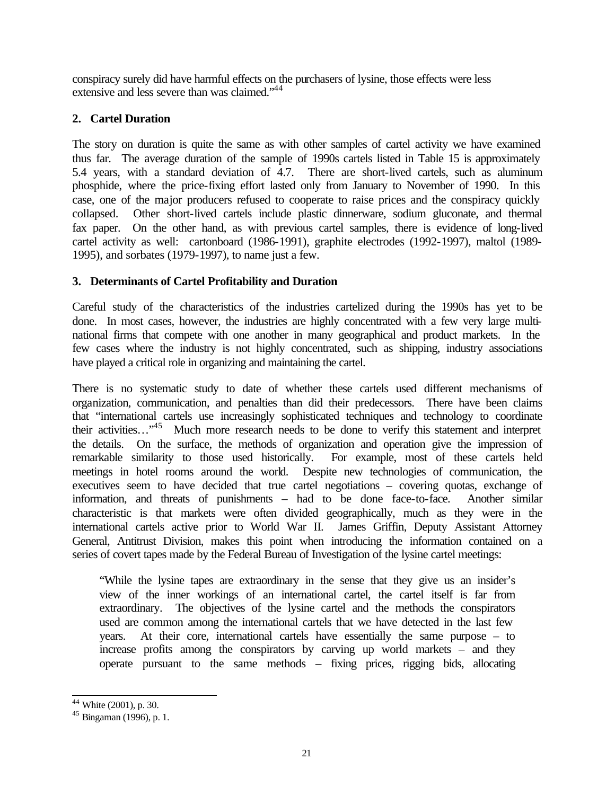conspiracy surely did have harmful effects on the purchasers of lysine, those effects were less extensive and less severe than was claimed."<sup>44</sup>

### **2. Cartel Duration**

The story on duration is quite the same as with other samples of cartel activity we have examined thus far. The average duration of the sample of 1990s cartels listed in Table 15 is approximately 5.4 years, with a standard deviation of 4.7. There are short-lived cartels, such as aluminum phosphide, where the price-fixing effort lasted only from January to November of 1990. In this case, one of the major producers refused to cooperate to raise prices and the conspiracy quickly collapsed. Other short-lived cartels include plastic dinnerware, sodium gluconate, and thermal fax paper. On the other hand, as with previous cartel samples, there is evidence of long-lived cartel activity as well: cartonboard (1986-1991), graphite electrodes (1992-1997), maltol (1989- 1995), and sorbates (1979-1997), to name just a few.

### **3. Determinants of Cartel Profitability and Duration**

Careful study of the characteristics of the industries cartelized during the 1990s has yet to be done. In most cases, however, the industries are highly concentrated with a few very large multinational firms that compete with one another in many geographical and product markets. In the few cases where the industry is not highly concentrated, such as shipping, industry associations have played a critical role in organizing and maintaining the cartel.

There is no systematic study to date of whether these cartels used different mechanisms of organization, communication, and penalties than did their predecessors. There have been claims that "international cartels use increasingly sophisticated techniques and technology to coordinate their activities…"<sup>45</sup> Much more research needs to be done to verify this statement and interpret the details. On the surface, the methods of organization and operation give the impression of remarkable similarity to those used historically. For example, most of these cartels held meetings in hotel rooms around the world. Despite new technologies of communication, the executives seem to have decided that true cartel negotiations – covering quotas, exchange of information, and threats of punishments – had to be done face-to-face. Another similar characteristic is that markets were often divided geographically, much as they were in the international cartels active prior to World War II. James Griffin, Deputy Assistant Attorney General, Antitrust Division, makes this point when introducing the information contained on a series of covert tapes made by the Federal Bureau of Investigation of the lysine cartel meetings:

"While the lysine tapes are extraordinary in the sense that they give us an insider's view of the inner workings of an international cartel, the cartel itself is far from extraordinary. The objectives of the lysine cartel and the methods the conspirators used are common among the international cartels that we have detected in the last few years. At their core, international cartels have essentially the same purpose – to increase profits among the conspirators by carving up world markets – and they operate pursuant to the same methods – fixing prices, rigging bids, allocating

 $44$  White (2001), p. 30.

 $45$  Bingaman (1996), p. 1.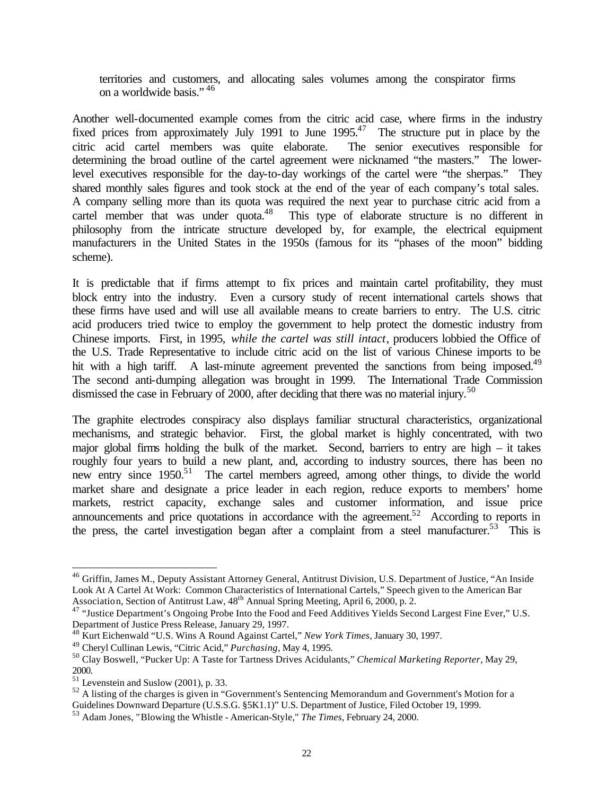territories and customers, and allocating sales volumes among the conspirator firms on a worldwide basis." <sup>46</sup>

Another well-documented example comes from the citric acid case, where firms in the industry fixed prices from approximately July 1991 to June 1995.<sup>47</sup> The structure put in place by the citric acid cartel members was quite elaborate. The senior executives responsible for determining the broad outline of the cartel agreement were nicknamed "the masters." The lowerlevel executives responsible for the day-to-day workings of the cartel were "the sherpas." They shared monthly sales figures and took stock at the end of the year of each company's total sales. A company selling more than its quota was required the next year to purchase citric acid from a cartel member that was under quota.<sup>48</sup> This type of elaborate structure is no different in philosophy from the intricate structure developed by, for example, the electrical equipment manufacturers in the United States in the 1950s (famous for its "phases of the moon" bidding scheme).

It is predictable that if firms attempt to fix prices and maintain cartel profitability, they must block entry into the industry. Even a cursory study of recent international cartels shows that these firms have used and will use all available means to create barriers to entry. The U.S. citric acid producers tried twice to employ the government to help protect the domestic industry from Chinese imports. First, in 1995, *while the cartel was still intact*, producers lobbied the Office of the U.S. Trade Representative to include citric acid on the list of various Chinese imports to be hit with a high tariff. A last-minute agreement prevented the sanctions from being imposed.<sup>49</sup> The second anti-dumping allegation was brought in 1999. The International Trade Commission dismissed the case in February of 2000, after deciding that there was no material injury.<sup>50</sup>

The graphite electrodes conspiracy also displays familiar structural characteristics, organizational mechanisms, and strategic behavior. First, the global market is highly concentrated, with two major global firms holding the bulk of the market. Second, barriers to entry are high – it takes roughly four years to build a new plant, and, according to industry sources, there has been no new entry since 1950.<sup>51</sup> The cartel members agreed, among other things, to divide the world market share and designate a price leader in each region, reduce exports to members' home markets, restrict capacity, exchange sales and customer information, and issue price announcements and price quotations in accordance with the agreement.<sup>52</sup> According to reports in the press, the cartel investigation began after a complaint from a steel manufacturer.<sup>53</sup> This is

<sup>&</sup>lt;sup>46</sup> Griffin, James M., Deputy Assistant Attorney General, Antitrust Division, U.S. Department of Justice, "An Inside Look At A Cartel At Work: Common Characteristics of International Cartels," Speech given to the American Bar Association, Section of Antitrust Law, 48<sup>th</sup> Annual Spring Meeting, April 6, 2000, p. 2.

<sup>&</sup>lt;sup>47</sup> "Justice Department's Ongoing Probe Into the Food and Feed Additives Yields Second Largest Fine Ever," U.S. Department of Justice Press Release, January 29, 1997.

<sup>48</sup> Kurt Eichenwald "U.S. Wins A Round Against Cartel," *New York Times*, January 30, 1997.

<sup>49</sup> Cheryl Cullinan Lewis, "Citric Acid," *Purchasing*, May 4, 1995.

<sup>50</sup> Clay Boswell, "Pucker Up: A Taste for Tartness Drives Acidulants," *Chemical Marketing Reporter*, May 29, 2000.

 $51$  Levenstein and Suslow (2001), p. 33.

 $52$  A listing of the charges is given in "Government's Sentencing Memorandum and Government's Motion for a Guidelines Downward Departure (U.S.S.G. §5K1.1)" U.S. Department of Justice, Filed October 19, 1999.

<sup>53</sup> Adam Jones, "Blowing the Whistle - American-Style," *The Times*, February 24, 2000.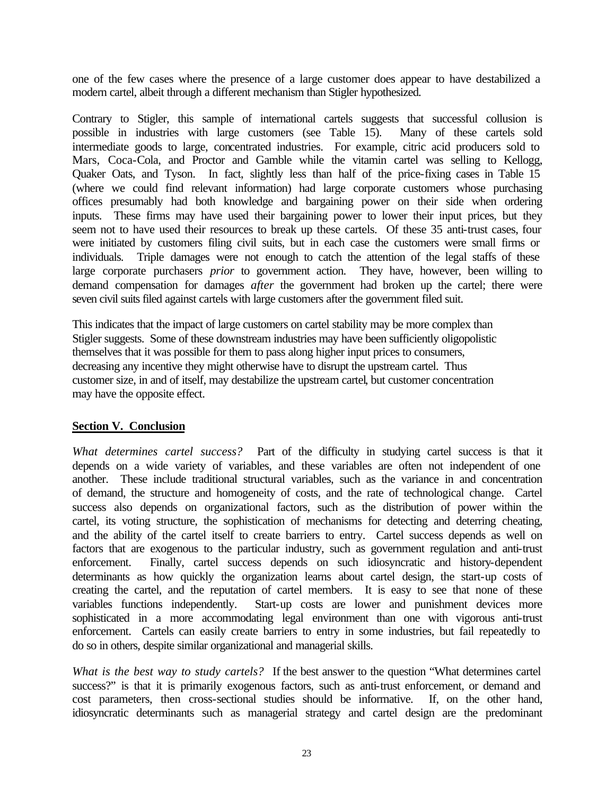one of the few cases where the presence of a large customer does appear to have destabilized a modern cartel, albeit through a different mechanism than Stigler hypothesized.

Contrary to Stigler, this sample of international cartels suggests that successful collusion is possible in industries with large customers (see Table 15). Many of these cartels sold intermediate goods to large, concentrated industries. For example, citric acid producers sold to Mars, Coca-Cola, and Proctor and Gamble while the vitamin cartel was selling to Kellogg, Quaker Oats, and Tyson. In fact, slightly less than half of the price-fixing cases in Table 15 (where we could find relevant information) had large corporate customers whose purchasing offices presumably had both knowledge and bargaining power on their side when ordering inputs. These firms may have used their bargaining power to lower their input prices, but they seem not to have used their resources to break up these cartels. Of these 35 anti-trust cases, four were initiated by customers filing civil suits, but in each case the customers were small firms or individuals. Triple damages were not enough to catch the attention of the legal staffs of these large corporate purchasers *prior* to government action. They have, however, been willing to demand compensation for damages *after* the government had broken up the cartel; there were seven civil suits filed against cartels with large customers after the government filed suit.

This indicates that the impact of large customers on cartel stability may be more complex than Stigler suggests. Some of these downstream industries may have been sufficiently oligopolistic themselves that it was possible for them to pass along higher input prices to consumers, decreasing any incentive they might otherwise have to disrupt the upstream cartel. Thus customer size, in and of itself, may destabilize the upstream cartel, but customer concentration may have the opposite effect.

### **Section V. Conclusion**

*What determines cartel success?* Part of the difficulty in studying cartel success is that it depends on a wide variety of variables, and these variables are often not independent of one another. These include traditional structural variables, such as the variance in and concentration of demand, the structure and homogeneity of costs, and the rate of technological change. Cartel success also depends on organizational factors, such as the distribution of power within the cartel, its voting structure, the sophistication of mechanisms for detecting and deterring cheating, and the ability of the cartel itself to create barriers to entry. Cartel success depends as well on factors that are exogenous to the particular industry, such as government regulation and anti-trust enforcement. Finally, cartel success depends on such idiosyncratic and history-dependent determinants as how quickly the organization learns about cartel design, the start-up costs of creating the cartel, and the reputation of cartel members. It is easy to see that none of these variables functions independently. Start-up costs are lower and punishment devices more sophisticated in a more accommodating legal environment than one with vigorous anti-trust enforcement. Cartels can easily create barriers to entry in some industries, but fail repeatedly to do so in others, despite similar organizational and managerial skills.

*What is the best way to study cartels?* If the best answer to the question "What determines cartel success?" is that it is primarily exogenous factors, such as anti-trust enforcement, or demand and cost parameters, then cross-sectional studies should be informative. If, on the other hand, idiosyncratic determinants such as managerial strategy and cartel design are the predominant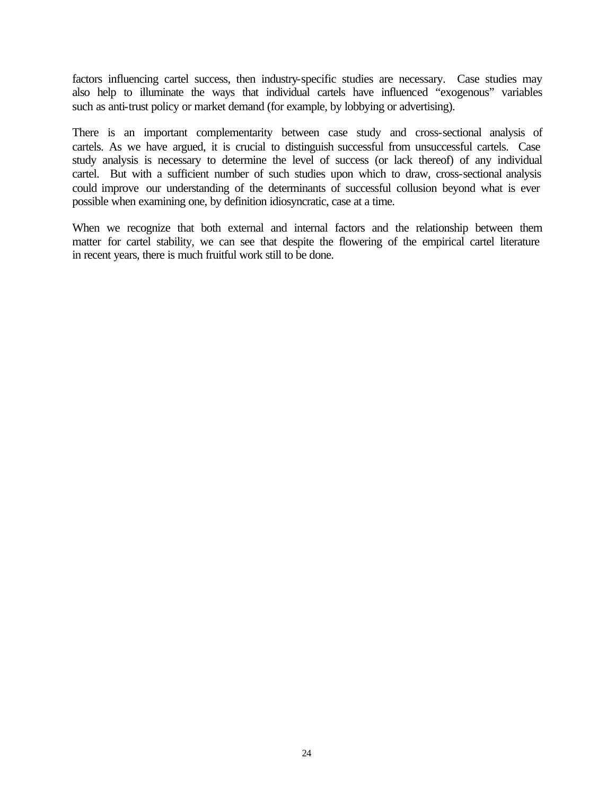factors influencing cartel success, then industry-specific studies are necessary. Case studies may also help to illuminate the ways that individual cartels have influenced "exogenous" variables such as anti-trust policy or market demand (for example, by lobbying or advertising).

There is an important complementarity between case study and cross-sectional analysis of cartels. As we have argued, it is crucial to distinguish successful from unsuccessful cartels. Case study analysis is necessary to determine the level of success (or lack thereof) of any individual cartel. But with a sufficient number of such studies upon which to draw, cross-sectional analysis could improve our understanding of the determinants of successful collusion beyond what is ever possible when examining one, by definition idiosyncratic, case at a time.

When we recognize that both external and internal factors and the relationship between them matter for cartel stability, we can see that despite the flowering of the empirical cartel literature in recent years, there is much fruitful work still to be done.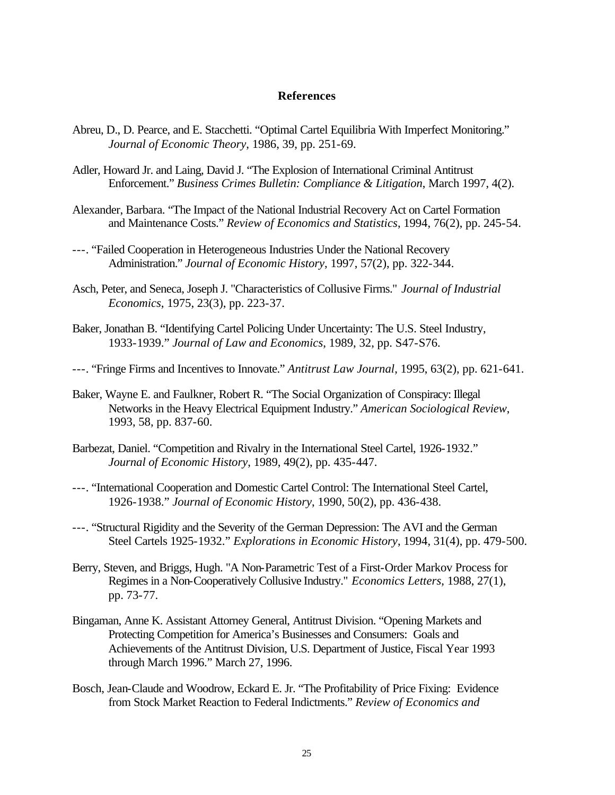#### **References**

- Abreu, D., D. Pearce, and E. Stacchetti. "Optimal Cartel Equilibria With Imperfect Monitoring." *Journal of Economic Theory*, 1986, 39, pp. 251-69.
- Adler, Howard Jr. and Laing, David J. "The Explosion of International Criminal Antitrust Enforcement." *Business Crimes Bulletin: Compliance & Litigation*, March 1997, 4(2).
- Alexander, Barbara. "The Impact of the National Industrial Recovery Act on Cartel Formation and Maintenance Costs." *Review of Economics and Statistics*, 1994, 76(2), pp. 245-54.
- ---. "Failed Cooperation in Heterogeneous Industries Under the National Recovery Administration." *Journal of Economic History*, 1997, 57(2), pp. 322-344.
- Asch, Peter, and Seneca, Joseph J. "Characteristics of Collusive Firms." *Journal of Industrial Economics*, 1975, 23(3), pp. 223-37.
- Baker, Jonathan B. "Identifying Cartel Policing Under Uncertainty: The U.S. Steel Industry, 1933-1939." *Journal of Law and Economics*, 1989, 32, pp. S47-S76.
- ---. "Fringe Firms and Incentives to Innovate." *Antitrust Law Journal*, 1995, 63(2), pp. 621-641.
- Baker, Wayne E. and Faulkner, Robert R. "The Social Organization of Conspiracy: Illegal Networks in the Heavy Electrical Equipment Industry." *American Sociological Review*, 1993, 58, pp. 837-60.
- Barbezat, Daniel. "Competition and Rivalry in the International Steel Cartel, 1926-1932." *Journal of Economic History*, 1989, 49(2), pp. 435-447.
- ---. "International Cooperation and Domestic Cartel Control: The International Steel Cartel, 1926-1938." *Journal of Economic History*, 1990, 50(2), pp. 436-438.
- ---. "Structural Rigidity and the Severity of the German Depression: The AVI and the German Steel Cartels 1925-1932." *Explorations in Economic History*, 1994, 31(4), pp. 479-500.
- Berry, Steven, and Briggs, Hugh. "A Non-Parametric Test of a First-Order Markov Process for Regimes in a Non-Cooperatively Collusive Industry." *Economics Letters*, 1988, 27(1), pp. 73-77.
- Bingaman, Anne K. Assistant Attorney General, Antitrust Division. "Opening Markets and Protecting Competition for America's Businesses and Consumers: Goals and Achievements of the Antitrust Division, U.S. Department of Justice, Fiscal Year 1993 through March 1996." March 27, 1996.
- Bosch, Jean-Claude and Woodrow, Eckard E. Jr. "The Profitability of Price Fixing: Evidence from Stock Market Reaction to Federal Indictments." *Review of Economics and*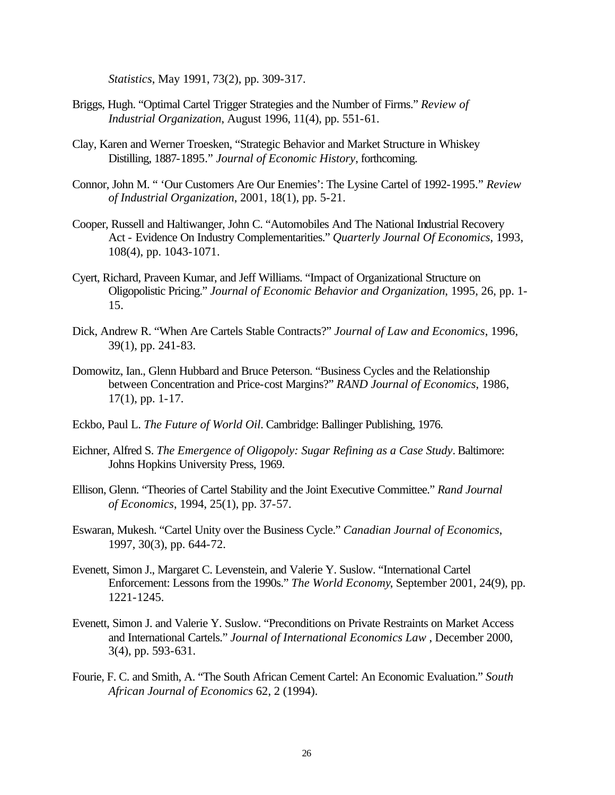*Statistics*, May 1991, 73(2), pp. 309-317.

- Briggs, Hugh. "Optimal Cartel Trigger Strategies and the Number of Firms." *Review of Industrial Organization*, August 1996, 11(4), pp. 551-61.
- Clay, Karen and Werner Troesken, "Strategic Behavior and Market Structure in Whiskey Distilling, 1887-1895." *Journal of Economic History*, forthcoming.
- Connor, John M. " 'Our Customers Are Our Enemies': The Lysine Cartel of 1992-1995." *Review of Industrial Organization*, 2001, 18(1), pp. 5-21.
- Cooper, Russell and Haltiwanger, John C. "Automobiles And The National Industrial Recovery Act - Evidence On Industry Complementarities." *Quarterly Journal Of Economics*, 1993, 108(4), pp. 1043-1071.
- Cyert, Richard, Praveen Kumar, and Jeff Williams. "Impact of Organizational Structure on Oligopolistic Pricing." *Journal of Economic Behavior and Organization*, 1995, 26, pp. 1- 15.
- Dick, Andrew R. "When Are Cartels Stable Contracts?" *Journal of Law and Economics*, 1996, 39(1), pp. 241-83.
- Domowitz, Ian., Glenn Hubbard and Bruce Peterson. "Business Cycles and the Relationship between Concentration and Price-cost Margins?" *RAND Journal of Economics*, 1986, 17(1), pp. 1-17.
- Eckbo, Paul L. *The Future of World Oil*. Cambridge: Ballinger Publishing, 1976.
- Eichner, Alfred S. *The Emergence of Oligopoly: Sugar Refining as a Case Study*. Baltimore: Johns Hopkins University Press, 1969.
- Ellison, Glenn. "Theories of Cartel Stability and the Joint Executive Committee." *Rand Journal of Economics*, 1994, 25(1), pp. 37-57.
- Eswaran, Mukesh. "Cartel Unity over the Business Cycle." *Canadian Journal of Economics*, 1997, 30(3), pp. 644-72.
- Evenett, Simon J., Margaret C. Levenstein, and Valerie Y. Suslow. "International Cartel Enforcement: Lessons from the 1990s." *The World Economy*, September 2001, 24(9), pp. 1221-1245.
- Evenett, Simon J. and Valerie Y. Suslow. "Preconditions on Private Restraints on Market Access and International Cartels." *Journal of International Economics Law* , December 2000, 3(4), pp. 593-631.
- Fourie, F. C. and Smith, A. "The South African Cement Cartel: An Economic Evaluation." *South African Journal of Economics* 62, 2 (1994).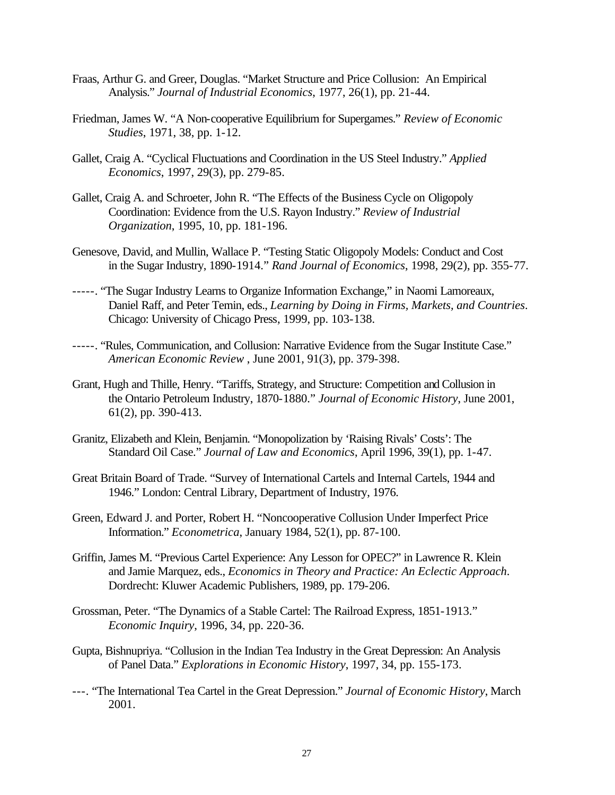- Fraas, Arthur G. and Greer, Douglas. "Market Structure and Price Collusion: An Empirical Analysis." *Journal of Industrial Economics*, 1977, 26(1), pp. 21-44.
- Friedman, James W. "A Non-cooperative Equilibrium for Supergames." *Review of Economic Studies*, 1971, 38, pp. 1-12.
- Gallet, Craig A. "Cyclical Fluctuations and Coordination in the US Steel Industry." *Applied Economics*, 1997, 29(3), pp. 279-85.
- Gallet, Craig A. and Schroeter, John R. "The Effects of the Business Cycle on Oligopoly Coordination: Evidence from the U.S. Rayon Industry." *Review of Industrial Organization*, 1995, 10, pp. 181-196.
- Genesove, David, and Mullin, Wallace P. "Testing Static Oligopoly Models: Conduct and Cost in the Sugar Industry, 1890-1914." *Rand Journal of Economics*, 1998, 29(2), pp. 355-77.
- -----. "The Sugar Industry Learns to Organize Information Exchange," in Naomi Lamoreaux, Daniel Raff, and Peter Temin, eds., *Learning by Doing in Firms, Markets, and Countries*. Chicago: University of Chicago Press, 1999, pp. 103-138.
- -----. "Rules, Communication, and Collusion: Narrative Evidence from the Sugar Institute Case." *American Economic Review* , June 2001, 91(3), pp. 379-398.
- Grant, Hugh and Thille, Henry. "Tariffs, Strategy, and Structure: Competition and Collusion in the Ontario Petroleum Industry, 1870-1880." *Journal of Economic History*, June 2001, 61(2), pp. 390-413.
- Granitz, Elizabeth and Klein, Benjamin. "Monopolization by 'Raising Rivals' Costs': The Standard Oil Case." *Journal of Law and Economics*, April 1996, 39(1), pp. 1-47.
- Great Britain Board of Trade. "Survey of International Cartels and Internal Cartels, 1944 and 1946." London: Central Library, Department of Industry, 1976.
- Green, Edward J. and Porter, Robert H. "Noncooperative Collusion Under Imperfect Price Information." *Econometrica*, January 1984, 52(1), pp. 87-100.
- Griffin, James M. "Previous Cartel Experience: Any Lesson for OPEC?" in Lawrence R. Klein and Jamie Marquez, eds., *Economics in Theory and Practice: An Eclectic Approach*. Dordrecht: Kluwer Academic Publishers, 1989, pp. 179-206.
- Grossman, Peter. "The Dynamics of a Stable Cartel: The Railroad Express, 1851-1913." *Economic Inquiry*, 1996, 34, pp. 220-36.
- Gupta, Bishnupriya. "Collusion in the Indian Tea Industry in the Great Depression: An Analysis of Panel Data." *Explorations in Economic History*, 1997, 34, pp. 155-173.
- ---. "The International Tea Cartel in the Great Depression." *Journal of Economic History*, March 2001.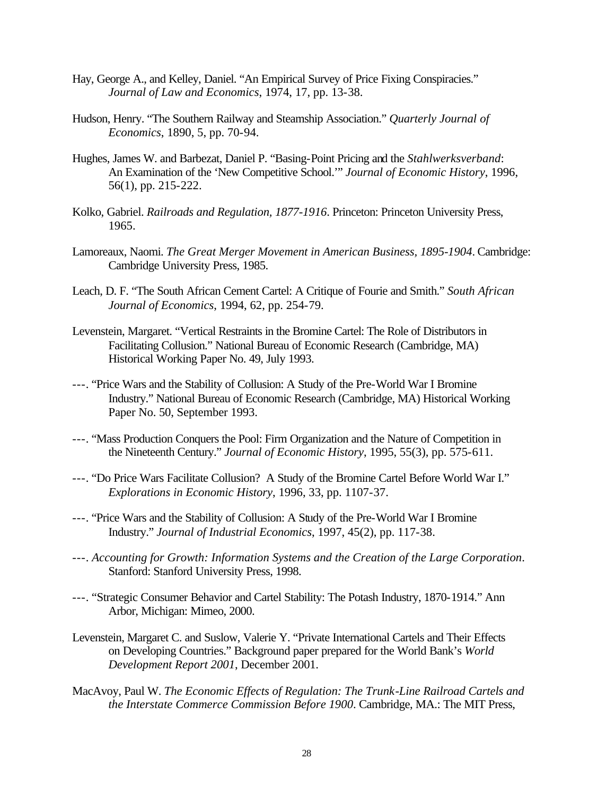- Hay, George A., and Kelley, Daniel. "An Empirical Survey of Price Fixing Conspiracies." *Journal of Law and Economics*, 1974, 17, pp. 13-38.
- Hudson, Henry. "The Southern Railway and Steamship Association." *Quarterly Journal of Economics*, 1890, 5, pp. 70-94.
- Hughes, James W. and Barbezat, Daniel P. "Basing-Point Pricing and the *Stahlwerksverband*: An Examination of the 'New Competitive School.'" *Journal of Economic History*, 1996, 56(1), pp. 215-222.
- Kolko, Gabriel. *Railroads and Regulation, 1877-1916*. Princeton: Princeton University Press, 1965.
- Lamoreaux, Naomi. *The Great Merger Movement in American Business, 1895-1904*. Cambridge: Cambridge University Press, 1985.
- Leach, D. F. "The South African Cement Cartel: A Critique of Fourie and Smith." *South African Journal of Economics*, 1994, 62, pp. 254-79.
- Levenstein, Margaret. "Vertical Restraints in the Bromine Cartel: The Role of Distributors in Facilitating Collusion." National Bureau of Economic Research (Cambridge, MA) Historical Working Paper No. 49, July 1993.
- ---. "Price Wars and the Stability of Collusion: A Study of the Pre-World War I Bromine Industry." National Bureau of Economic Research (Cambridge, MA) Historical Working Paper No. 50, September 1993.
- ---. "Mass Production Conquers the Pool: Firm Organization and the Nature of Competition in the Nineteenth Century." *Journal of Economic History*, 1995, 55(3), pp. 575-611.
- ---. "Do Price Wars Facilitate Collusion? A Study of the Bromine Cartel Before World War I." *Explorations in Economic History*, 1996, 33, pp. 1107-37.
- ---. "Price Wars and the Stability of Collusion: A Study of the Pre-World War I Bromine Industry." *Journal of Industrial Economics*, 1997, 45(2), pp. 117-38.
- ---. *Accounting for Growth: Information Systems and the Creation of the Large Corporation*. Stanford: Stanford University Press, 1998.
- ---. "Strategic Consumer Behavior and Cartel Stability: The Potash Industry, 1870-1914." Ann Arbor, Michigan: Mimeo, 2000.
- Levenstein, Margaret C. and Suslow, Valerie Y. "Private International Cartels and Their Effects on Developing Countries." Background paper prepared for the World Bank's *World Development Report 2001*, December 2001.
- MacAvoy, Paul W. *The Economic Effects of Regulation: The Trunk-Line Railroad Cartels and the Interstate Commerce Commission Before 1900*. Cambridge, MA.: The MIT Press,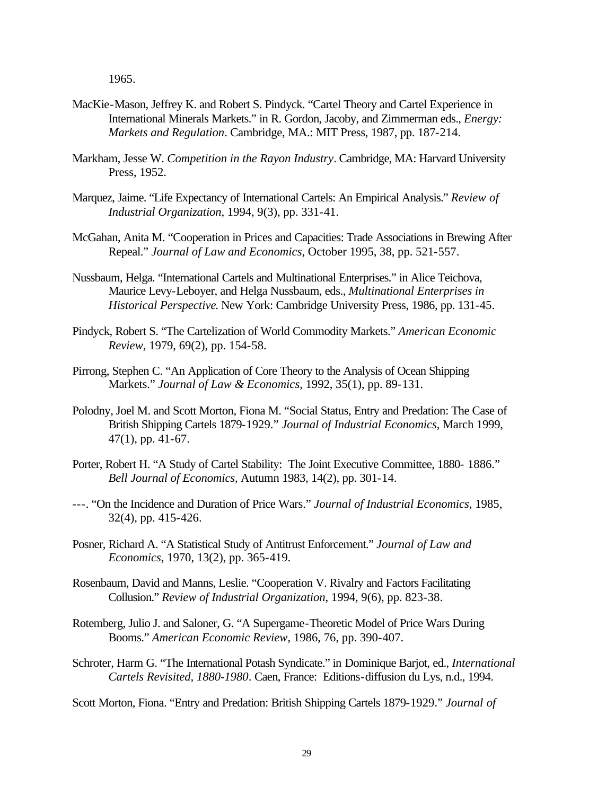1965.

- MacKie-Mason, Jeffrey K. and Robert S. Pindyck. "Cartel Theory and Cartel Experience in International Minerals Markets." in R. Gordon, Jacoby, and Zimmerman eds., *Energy: Markets and Regulation*. Cambridge, MA.: MIT Press, 1987, pp. 187-214.
- Markham, Jesse W. *Competition in the Rayon Industry*. Cambridge, MA: Harvard University Press, 1952.
- Marquez, Jaime. "Life Expectancy of International Cartels: An Empirical Analysis." *Review of Industrial Organization*, 1994, 9(3), pp. 331-41.
- McGahan, Anita M. "Cooperation in Prices and Capacities: Trade Associations in Brewing After Repeal." *Journal of Law and Economics*, October 1995, 38, pp. 521-557.
- Nussbaum, Helga. "International Cartels and Multinational Enterprises." in Alice Teichova, Maurice Levy-Leboyer, and Helga Nussbaum, eds., *Multinational Enterprises in Historical Perspective*. New York: Cambridge University Press, 1986, pp. 131-45.
- Pindyck, Robert S. "The Cartelization of World Commodity Markets." *American Economic Review*, 1979, 69(2), pp. 154-58.
- Pirrong, Stephen C. "An Application of Core Theory to the Analysis of Ocean Shipping Markets." *Journal of Law & Economics*, 1992, 35(1), pp. 89-131.
- Polodny, Joel M. and Scott Morton, Fiona M. "Social Status, Entry and Predation: The Case of British Shipping Cartels 1879-1929." *Journal of Industrial Economics*, March 1999, 47(1), pp. 41-67.
- Porter, Robert H. "A Study of Cartel Stability: The Joint Executive Committee, 1880- 1886." *Bell Journal of Economics*, Autumn 1983, 14(2), pp. 301-14.
- ---. "On the Incidence and Duration of Price Wars." *Journal of Industrial Economics*, 1985, 32(4), pp. 415-426.
- Posner, Richard A. "A Statistical Study of Antitrust Enforcement." *Journal of Law and Economics*, 1970, 13(2), pp. 365-419.
- Rosenbaum, David and Manns, Leslie. "Cooperation V. Rivalry and Factors Facilitating Collusion." *Review of Industrial Organization*, 1994, 9(6), pp. 823-38.
- Rotemberg, Julio J. and Saloner, G. "A Supergame-Theoretic Model of Price Wars During Booms." *American Economic Review*, 1986, 76, pp. 390-407.
- Schroter, Harm G. "The International Potash Syndicate." in Dominique Barjot, ed., *International Cartels Revisited, 1880-1980*. Caen, France: Editions-diffusion du Lys, n.d., 1994.

Scott Morton, Fiona. "Entry and Predation: British Shipping Cartels 1879-1929." *Journal of*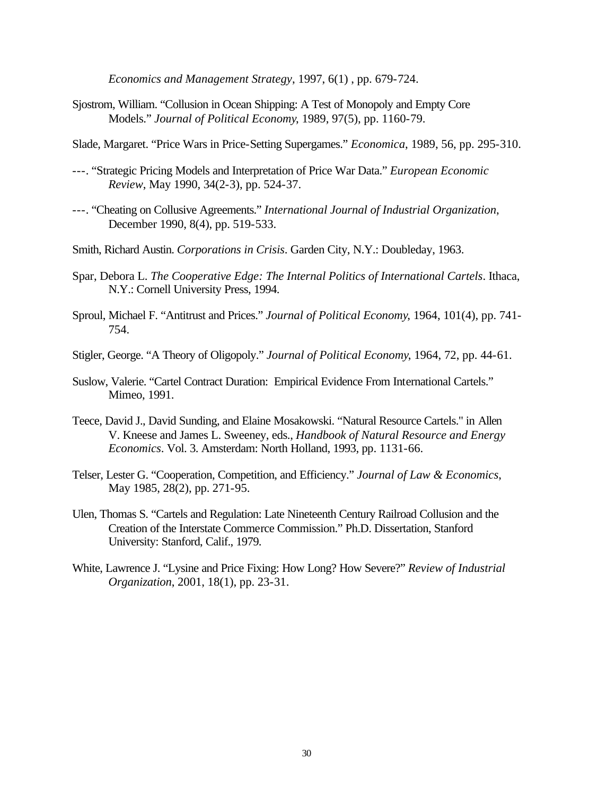*Economics and Management Strategy*, 1997, 6(1) , pp. 679-724.

- Sjostrom, William. "Collusion in Ocean Shipping: A Test of Monopoly and Empty Core Models." *Journal of Political Economy*, 1989, 97(5), pp. 1160-79.
- Slade, Margaret. "Price Wars in Price-Setting Supergames." *Economica*, 1989, 56, pp. 295-310.
- ---. "Strategic Pricing Models and Interpretation of Price War Data." *European Economic Review*, May 1990, 34(2-3), pp. 524-37.
- ---. "Cheating on Collusive Agreements." *International Journal of Industrial Organization*, December 1990, 8(4), pp. 519-533.
- Smith, Richard Austin. *Corporations in Crisis*. Garden City, N.Y.: Doubleday, 1963.
- Spar, Debora L. *The Cooperative Edge: The Internal Politics of International Cartels*. Ithaca, N.Y.: Cornell University Press, 1994.
- Sproul, Michael F. "Antitrust and Prices." *Journal of Political Economy*, 1964, 101(4), pp. 741- 754.
- Stigler, George. "A Theory of Oligopoly." *Journal of Political Economy*, 1964, 72, pp. 44-61.
- Suslow, Valerie. "Cartel Contract Duration: Empirical Evidence From International Cartels." Mimeo, 1991.
- Teece, David J., David Sunding, and Elaine Mosakowski. "Natural Resource Cartels." in Allen V. Kneese and James L. Sweeney, eds., *Handbook of Natural Resource and Energy Economics*. Vol. 3. Amsterdam: North Holland, 1993, pp. 1131-66.
- Telser, Lester G. "Cooperation, Competition, and Efficiency." *Journal of Law & Economics*, May 1985, 28(2), pp. 271-95.
- Ulen, Thomas S. "Cartels and Regulation: Late Nineteenth Century Railroad Collusion and the Creation of the Interstate Commerce Commission." Ph.D. Dissertation, Stanford University: Stanford, Calif., 1979.
- White, Lawrence J. "Lysine and Price Fixing: How Long? How Severe?" *Review of Industrial Organization*, 2001, 18(1), pp. 23-31.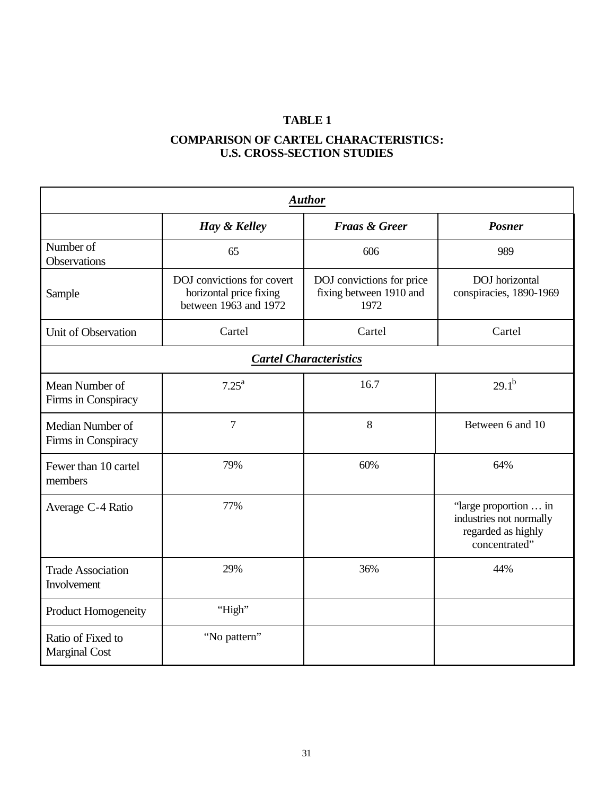### **COMPARISON OF CARTEL CHARACTERISTICS: U.S. CROSS-SECTION STUDIES**

| <b>Author</b>                             |                                                                                |                                                              |                                                                                         |  |  |  |  |  |
|-------------------------------------------|--------------------------------------------------------------------------------|--------------------------------------------------------------|-----------------------------------------------------------------------------------------|--|--|--|--|--|
|                                           | Hay & Kelley                                                                   | <b>Fraas &amp; Greer</b>                                     | <b>Posner</b>                                                                           |  |  |  |  |  |
| Number of<br>Observations                 | 65                                                                             | 606                                                          | 989                                                                                     |  |  |  |  |  |
| Sample                                    | DOJ convictions for covert<br>horizontal price fixing<br>between 1963 and 1972 | DOJ convictions for price<br>fixing between 1910 and<br>1972 | DOJ horizontal<br>conspiracies, 1890-1969                                               |  |  |  |  |  |
| Unit of Observation                       | Cartel<br>Cartel                                                               |                                                              | Cartel                                                                                  |  |  |  |  |  |
|                                           | <b>Cartel Characteristics</b>                                                  |                                                              |                                                                                         |  |  |  |  |  |
| Mean Number of<br>Firms in Conspiracy     | 7.25 <sup>a</sup>                                                              | 16.7                                                         | $29.1^{b}$                                                                              |  |  |  |  |  |
| Median Number of<br>Firms in Conspiracy   | $\overline{7}$                                                                 | 8                                                            | Between 6 and 10                                                                        |  |  |  |  |  |
| Fewer than 10 cartel<br>members           | 79%                                                                            | 60%                                                          | 64%                                                                                     |  |  |  |  |  |
| Average C-4 Ratio                         | 77%                                                                            |                                                              | "large proportion  in<br>industries not normally<br>regarded as highly<br>concentrated" |  |  |  |  |  |
| <b>Trade Association</b><br>Involvement   | 29%                                                                            | 36%                                                          | 44%                                                                                     |  |  |  |  |  |
| Product Homogeneity                       | "High"                                                                         |                                                              |                                                                                         |  |  |  |  |  |
| Ratio of Fixed to<br><b>Marginal Cost</b> | "No pattern"                                                                   |                                                              |                                                                                         |  |  |  |  |  |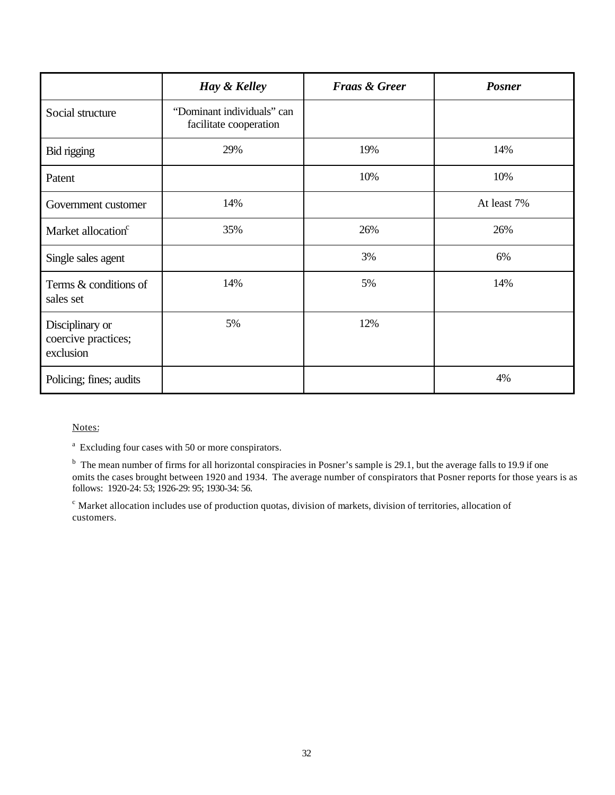|                                                     | Hay & Kelley                                         | <b>Fraas &amp; Greer</b> | <b>Posner</b> |
|-----------------------------------------------------|------------------------------------------------------|--------------------------|---------------|
| Social structure                                    | "Dominant individuals" can<br>facilitate cooperation |                          |               |
| Bid rigging                                         | 29%                                                  | 19%                      | 14%           |
| Patent                                              |                                                      | 10%                      | 10%           |
| Government customer                                 | 14%                                                  |                          | At least 7%   |
| Market allocation <sup>c</sup>                      | 35%                                                  | 26%                      | 26%           |
| Single sales agent                                  |                                                      | 3%                       | 6%            |
| Terms & conditions of<br>sales set                  | 14%                                                  | 5%                       | 14%           |
| Disciplinary or<br>coercive practices;<br>exclusion | 5%                                                   | 12%                      |               |
| Policing; fines; audits                             |                                                      |                          | 4%            |

Notes:

<sup>a</sup> Excluding four cases with 50 or more conspirators.

<sup>b</sup> The mean number of firms for all horizontal conspiracies in Posner's sample is 29.1, but the average falls to 19.9 if one omits the cases brought between 1920 and 1934. The average number of conspirators that Posner reports for those years is as follows: 1920-24: 53; 1926-29: 95; 1930-34: 56.

 $c<sup>c</sup>$  Market allocation includes use of production quotas, division of markets, division of territories, allocation of customers.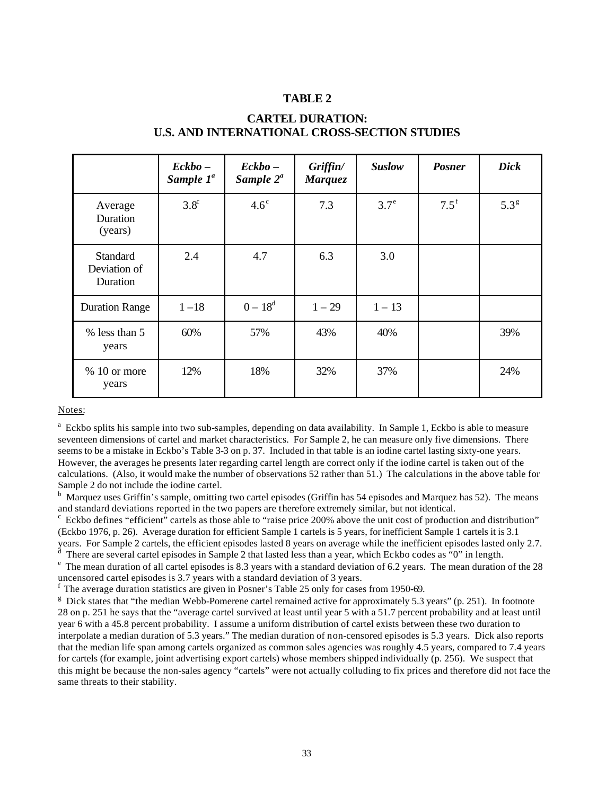|                                             | $\mathbf{Eckbo}$ -<br>Sample $1^a$ | $\mathbf{Eckbo}$ –<br>Sample $2^a$ | Griffin/<br><b>Marquez</b> | <b>Suslow</b> | <b>Posner</b> | <b>Dick</b>      |
|---------------------------------------------|------------------------------------|------------------------------------|----------------------------|---------------|---------------|------------------|
| Average<br>Duration<br>(years)              | $3.8^\circ$                        | $4.6^\circ$                        | 7.3                        | $3.7^{\circ}$ | $7.5^{\rm f}$ | 5.3 <sup>g</sup> |
| <b>Standard</b><br>Deviation of<br>Duration | 2.4                                | 4.7                                | 6.3                        | 3.0           |               |                  |
| <b>Duration Range</b>                       | $1 - 18$                           | $0 - 18^d$                         | $1 - 29$                   | $1 - 13$      |               |                  |
| % less than 5<br>years                      | 60%                                | 57%                                | 43%                        | 40%           |               | 39%              |
| $% 10$ or more<br>years                     | 12%                                | 18%                                | 32%                        | 37%           |               | 24%              |

#### **CARTEL DURATION: U.S. AND INTERNATIONAL CROSS-SECTION STUDIES**

Notes:

<sup>a</sup> Eckbo splits his sample into two sub-samples, depending on data availability. In Sample 1, Eckbo is able to measure seventeen dimensions of cartel and market characteristics. For Sample 2, he can measure only five dimensions. There seems to be a mistake in Eckbo's Table 3-3 on p. 37. Included in that table is an iodine cartel lasting sixty-one years. However, the averages he presents later regarding cartel length are correct only if the iodine cartel is taken out of the calculations. (Also, it would make the number of observations 52 rather than 51.) The calculations in the above table for Sample 2 do not include the iodine cartel.

<sup>b</sup> Marquez uses Griffin's sample, omitting two cartel episodes (Griffin has 54 episodes and Marquez has 52). The means and standard deviations reported in the two papers are therefore extremely similar, but not identical.

<sup>c</sup> Eckbo defines "efficient" cartels as those able to "raise price 200% above the unit cost of production and distribution" (Eckbo 1976, p. 26). Average duration for efficient Sample 1 cartels is 5 years, for inefficient Sample 1 cartels it is 3.1 years. For Sample 2 cartels, the efficient episodes lasted 8 years on average while the inefficient episodes lasted only 2.7.

There are several cartel episodes in Sample 2 that lasted less than a year, which Eckbo codes as "0" in length.

 $^e$  The mean duration of all cartel episodes is 8.3 years with a standard deviation of 6.2 years. The mean duration of the 28 uncensored cartel episodes is 3.7 years with a standard deviation of 3 years.

f The average duration statistics are given in Posner's Table 25 only for cases from 1950-69.

<sup>g</sup> Dick states that "the median Webb-Pomerene cartel remained active for approximately 5.3 years" (p. 251). In footnote 28 on p. 251 he says that the "average cartel survived at least until year 5 with a 51.7 percent probability and at least until year 6 with a 45.8 percent probability. I assume a uniform distribution of cartel exists between these two duration to interpolate a median duration of 5.3 years." The median duration of non-censored episodes is 5.3 years. Dick also reports that the median life span among cartels organized as common sales agencies was roughly 4.5 years, compared to 7.4 years for cartels (for example, joint advertising export cartels) whose members shipped individually (p. 256). We suspect that this might be because the non-sales agency "cartels" were not actually colluding to fix prices and therefore did not face the same threats to their stability.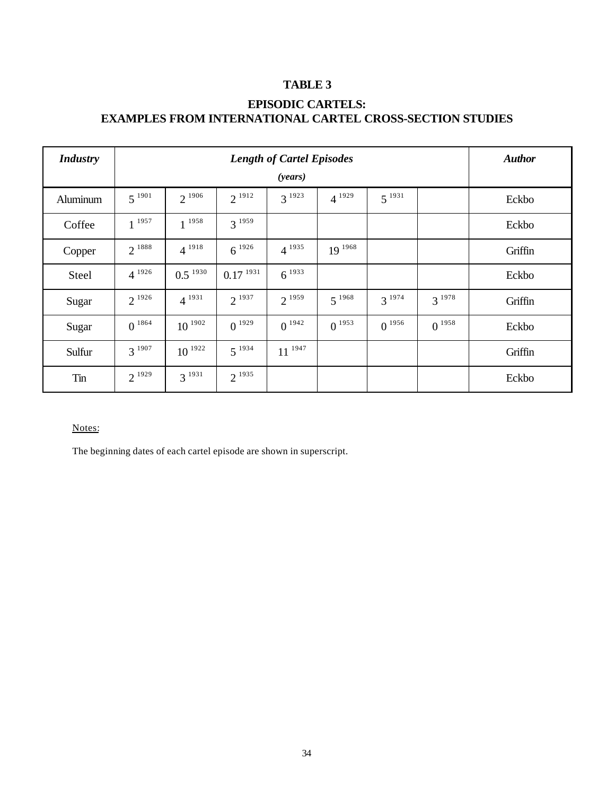## **EPISODIC CARTELS: EXAMPLES FROM INTERNATIONAL CARTEL CROSS-SECTION STUDIES**

| <b>Industry</b> | <b>Length of Cartel Episodes</b><br>(years) |              |               |             |             |            | <b>Author</b> |         |
|-----------------|---------------------------------------------|--------------|---------------|-------------|-------------|------------|---------------|---------|
| Aluminum        | $5^{1901}$                                  | $2^{1906}$   | $2^{1912}$    | $3^{1923}$  | $4^{1929}$  | $5^{1931}$ |               | Eckbo   |
| Coffee          | $1^{1957}$                                  | $1^{1958}$   | $3^{1959}$    |             |             |            |               | Eckbo   |
| Copper          | $2^{1888}$                                  | $4^{1918}$   | $6^{1926}$    | $4^{1935}$  | $19^{1968}$ |            |               | Griffin |
| Steel           | $4^{1926}$                                  | $0.5^{1930}$ | $0.17^{1931}$ | $6^{1933}$  |             |            |               | Eckbo   |
| Sugar           | $2^{1926}$                                  | $4^{1931}$   | $2^{1937}$    | $2^{1959}$  | $5^{1968}$  | $3^{1974}$ | $3^{1978}$    | Griffin |
| Sugar           | $0^{1864}$                                  | $10^{1902}$  | $0^{1929}$    | $0^{1942}$  | $0^{1953}$  | $0^{1956}$ | $0^{1958}$    | Eckbo   |
| Sulfur          | $3^{1907}$                                  | $10^{1922}$  | $5^{1934}$    | $11^{1947}$ |             |            |               | Griffin |
| Tin             | $2^{1929}$                                  | $3^{1931}$   | $2^{1935}$    |             |             |            |               | Eckbo   |

#### Notes:

The beginning dates of each cartel episode are shown in superscript.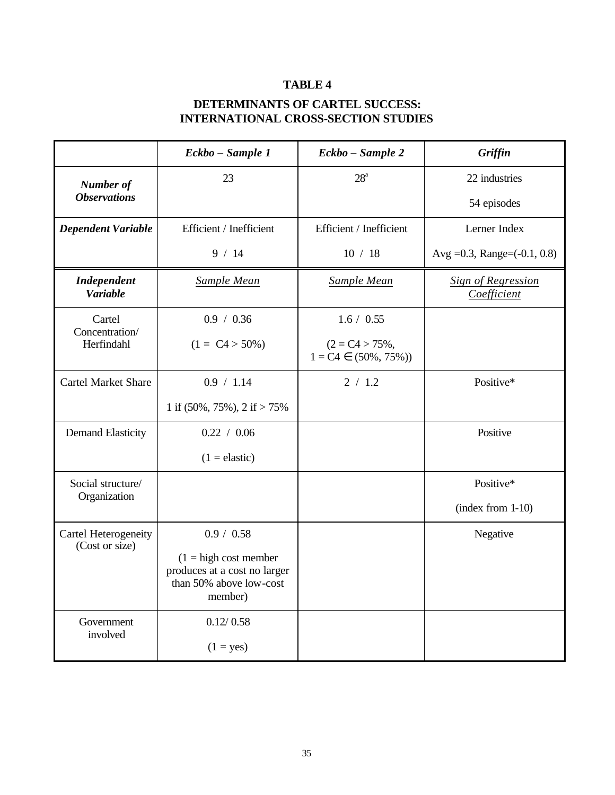## **DETERMINANTS OF CARTEL SUCCESS: INTERNATIONAL CROSS-SECTION STUDIES**

|                                        | Eckbo - Sample 1                                                                               | Eckbo - Sample 2                               | Griffin                                  |  |
|----------------------------------------|------------------------------------------------------------------------------------------------|------------------------------------------------|------------------------------------------|--|
| <b>Number of</b>                       | 23                                                                                             | $28^{\mathrm{a}}$                              | 22 industries                            |  |
| <b>Observations</b>                    |                                                                                                |                                                | 54 episodes                              |  |
| <b>Dependent Variable</b>              | Efficient / Inefficient                                                                        | Efficient / Inefficient                        | Lerner Index                             |  |
|                                        | 9/14                                                                                           | 10 / 18                                        | Avg = 0.3, Range = $(-0.1, 0.8)$         |  |
| <b>Independent</b><br><b>Variable</b>  | Sample Mean                                                                                    | <b>Sample Mean</b>                             | <b>Sign of Regression</b><br>Coefficient |  |
| Cartel<br>Concentration/               | 0.9 / 0.36                                                                                     | 1.6 / 0.55                                     |                                          |  |
| Herfindahl                             | $(1 = C4 > 50\%)$                                                                              | $(2 = C4 > 75\%,$<br>$1 = C4 \in (50\%, 75\%)$ |                                          |  |
| <b>Cartel Market Share</b>             | 0.9 / 1.14                                                                                     | 2 / 1.2                                        | Positive*                                |  |
|                                        | 1 if $(50\%, 75\%), 2$ if $> 75\%$                                                             |                                                |                                          |  |
| <b>Demand Elasticity</b>               | 0.22 / 0.06                                                                                    |                                                | Positive                                 |  |
|                                        | $(1 =$ elastic)                                                                                |                                                |                                          |  |
| Social structure/<br>Organization      |                                                                                                |                                                | Positive*                                |  |
|                                        |                                                                                                |                                                | $(index from 1-10)$                      |  |
| Cartel Heterogeneity<br>(Cost or size) | 0.9 / 0.58                                                                                     |                                                | Negative                                 |  |
|                                        | $(1 = high cost member)$<br>produces at a cost no larger<br>than 50% above low-cost<br>member) |                                                |                                          |  |
| Government<br>involved                 | 0.12 / 0.58                                                                                    |                                                |                                          |  |
|                                        | $(1 = yes)$                                                                                    |                                                |                                          |  |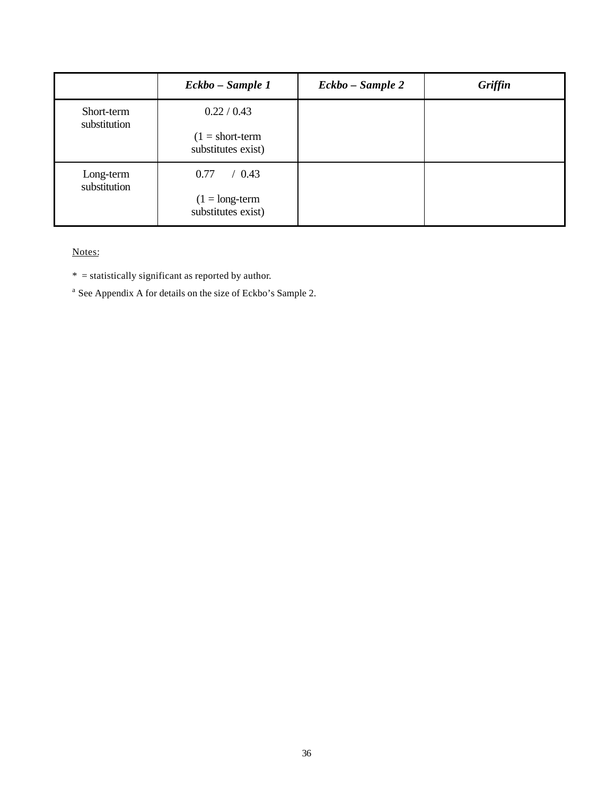|                            | Eckbo – Sample 1                               | Eckbo - Sample 2 | Griffin |
|----------------------------|------------------------------------------------|------------------|---------|
| Short-term<br>substitution | 0.22 / 0.43                                    |                  |         |
|                            | $(1 = short-term$<br>substitutes exist)        |                  |         |
| Long-term<br>substitution  | 0.77<br>$\prime$ 0.43                          |                  |         |
|                            | $(1 = \text{long-term})$<br>substitutes exist) |                  |         |

Notes:

 $*$  = statistically significant as reported by author.

 $^{\text{a}}$  See Appendix A for details on the size of Eckbo's Sample 2.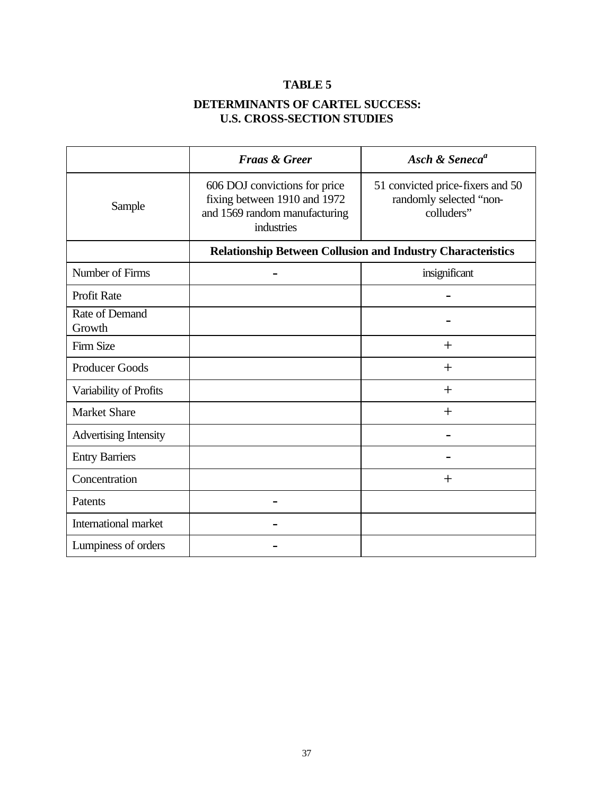## **DETERMINANTS OF CARTEL SUCCESS: U.S. CROSS-SECTION STUDIES**

|                              | <b>Fraas &amp; Greer</b>                                                                                     | Asch & Seneca <sup>a</sup>                                                |
|------------------------------|--------------------------------------------------------------------------------------------------------------|---------------------------------------------------------------------------|
| Sample                       | 606 DOJ convictions for price<br>fixing between 1910 and 1972<br>and 1569 random manufacturing<br>industries | 51 convicted price-fixers and 50<br>randomly selected "non-<br>colluders" |
|                              |                                                                                                              | <b>Relationship Between Collusion and Industry Characteristics</b>        |
| Number of Firms              |                                                                                                              | insignificant                                                             |
| Profit Rate                  |                                                                                                              |                                                                           |
| Rate of Demand<br>Growth     |                                                                                                              |                                                                           |
| <b>Firm Size</b>             |                                                                                                              | $^{+}$                                                                    |
| <b>Producer Goods</b>        |                                                                                                              | $^{+}$                                                                    |
| Variability of Profits       |                                                                                                              | $^{+}$                                                                    |
| <b>Market Share</b>          |                                                                                                              | $^{+}$                                                                    |
| <b>Advertising Intensity</b> |                                                                                                              |                                                                           |
| <b>Entry Barriers</b>        |                                                                                                              |                                                                           |
| Concentration                |                                                                                                              | $\pm$                                                                     |
| Patents                      |                                                                                                              |                                                                           |
| International market         |                                                                                                              |                                                                           |
| Lumpiness of orders          |                                                                                                              |                                                                           |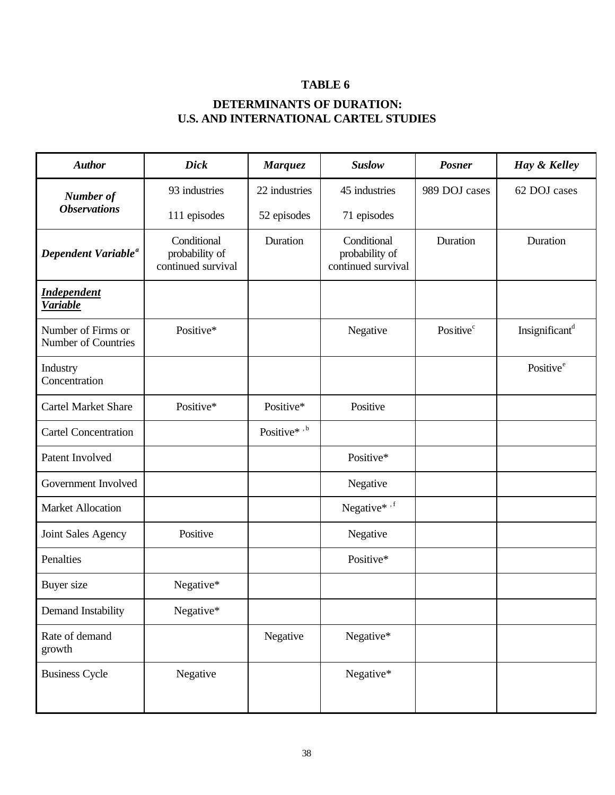## **DETERMINANTS OF DURATION: U.S. AND INTERNATIONAL CARTEL STUDIES**

| <b>Author</b>                             | <b>Dick</b>                                         | <b>Marquez</b> | <b>Suslow</b>                                       | <b>Posner</b>         | Hay & Kelley               |
|-------------------------------------------|-----------------------------------------------------|----------------|-----------------------------------------------------|-----------------------|----------------------------|
| <b>Number of</b>                          | 93 industries                                       | 22 industries  | 45 industries                                       | 989 DOJ cases         | 62 DOJ cases               |
| <b>Observations</b>                       | 111 episodes                                        | 52 episodes    | 71 episodes                                         |                       |                            |
| Dependent Variable <sup>a</sup>           | Conditional<br>probability of<br>continued survival | Duration       | Conditional<br>probability of<br>continued survival | Duration              | Duration                   |
| <b>Independent</b><br><b>Variable</b>     |                                                     |                |                                                     |                       |                            |
| Number of Firms or<br>Number of Countries | Positive*                                           |                | Negative                                            | Positive <sup>c</sup> | Insignificant <sup>d</sup> |
| Industry<br>Concentration                 |                                                     |                |                                                     |                       | Positive <sup>e</sup>      |
| <b>Cartel Market Share</b>                | Positive*                                           | Positive*      | Positive                                            |                       |                            |
| <b>Cartel Concentration</b>               |                                                     | Positive*,b    |                                                     |                       |                            |
| Patent Involved                           |                                                     |                | Positive*                                           |                       |                            |
| Government Involved                       |                                                     |                | Negative                                            |                       |                            |
| <b>Market Allocation</b>                  |                                                     |                | Negative*,f                                         |                       |                            |
| Joint Sales Agency                        | Positive                                            |                | Negative                                            |                       |                            |
| Penalties                                 |                                                     |                | Positive*                                           |                       |                            |
| Buyer size                                | Negative*                                           |                |                                                     |                       |                            |
| Demand Instability                        | Negative*                                           |                |                                                     |                       |                            |
| Rate of demand<br>growth                  |                                                     | Negative       | Negative*                                           |                       |                            |
| <b>Business Cycle</b>                     | Negative                                            |                | Negative*                                           |                       |                            |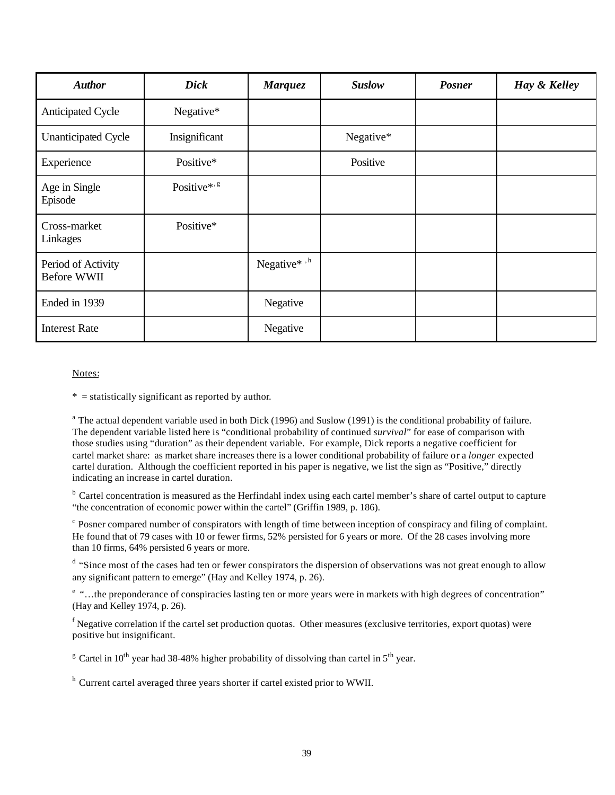| <b>Author</b>                     | <b>Dick</b>             | <b>Marquez</b> | <b>Suslow</b> | <b>Posner</b> | Hay & Kelley |
|-----------------------------------|-------------------------|----------------|---------------|---------------|--------------|
| <b>Anticipated Cycle</b>          | Negative*               |                |               |               |              |
| <b>Unanticipated Cycle</b>        | Insignificant           |                | Negative*     |               |              |
| Experience                        | Positive*               |                | Positive      |               |              |
| Age in Single<br>Episode          | Positive*' <sup>g</sup> |                |               |               |              |
| Cross-market<br>Linkages          | Positive*               |                |               |               |              |
| Period of Activity<br>Before WWII |                         | Negative*,h    |               |               |              |
| Ended in 1939                     |                         | Negative       |               |               |              |
| <b>Interest Rate</b>              |                         | Negative       |               |               |              |

#### Notes:

 $*$  = statistically significant as reported by author.

<sup>a</sup> The actual dependent variable used in both Dick (1996) and Suslow (1991) is the conditional probability of failure. The dependent variable listed here is "conditional probability of continued *survival*" for ease of comparison with those studies using "duration" as their dependent variable. For example, Dick reports a negative coefficient for cartel market share: as market share increases there is a lower conditional probability of failure or a *longer* expected cartel duration. Although the coefficient reported in his paper is negative, we list the sign as "Positive," directly indicating an increase in cartel duration.

<sup>b</sup> Cartel concentration is measured as the Herfindahl index using each cartel member's share of cartel output to capture "the concentration of economic power within the cartel" (Griffin 1989, p. 186).

 $c$  Posner compared number of conspirators with length of time between inception of conspiracy and filing of complaint. He found that of 79 cases with 10 or fewer firms, 52% persisted for 6 years or more. Of the 28 cases involving more than 10 firms, 64% persisted 6 years or more.

<sup>d</sup> "Since most of the cases had ten or fewer conspirators the dispersion of observations was not great enough to allow any significant pattern to emerge" (Hay and Kelley 1974, p. 26).

<sup>e</sup> "...the preponderance of conspiracies lasting ten or more years were in markets with high degrees of concentration" (Hay and Kelley 1974, p. 26).

 $f$ Negative correlation if the cartel set production quotas. Other measures (exclusive territories, export quotas) were positive but insignificant.

<sup>g</sup> Cartel in 10<sup>th</sup> year had 38-48% higher probability of dissolving than cartel in 5<sup>th</sup> year.

<sup>h</sup> Current cartel averaged three years shorter if cartel existed prior to WWII.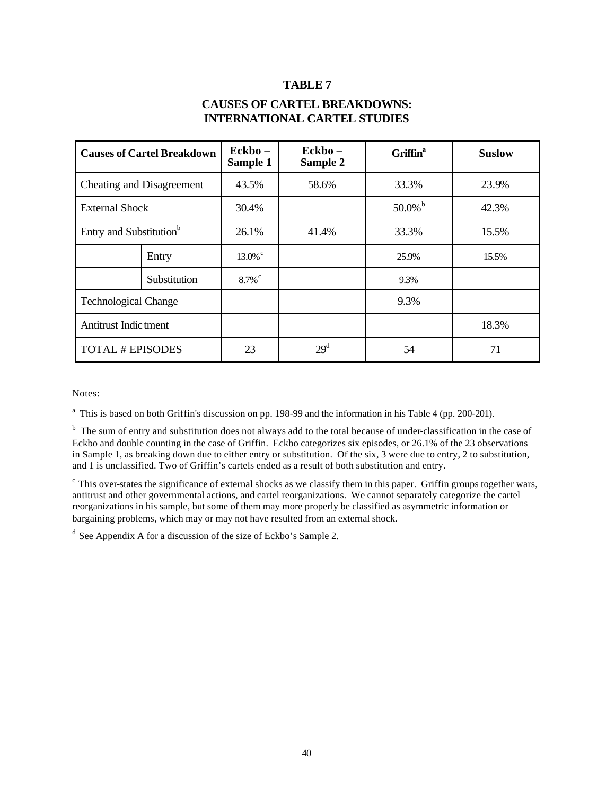#### **CAUSES OF CARTEL BREAKDOWNS: INTERNATIONAL CARTEL STUDIES**

| <b>Causes of Cartel Breakdown</b>   |              | $\bf Eckbo$ –<br>Sample 1 | $\bf Eckbo-$<br>Sample 2 | Griffin <sup>a</sup> | <b>Suslow</b> |
|-------------------------------------|--------------|---------------------------|--------------------------|----------------------|---------------|
| Cheating and Disagreement           |              | 43.5%                     | 58.6%                    | 33.3%                | 23.9%         |
| <b>External Shock</b>               |              | 30.4%                     |                          | $50.0\%$             | 42.3%         |
| Entry and Substitution <sup>b</sup> |              | 26.1%                     | 41.4%                    | 33.3%                | 15.5%         |
|                                     | Entry        | $13.0\%$ <sup>c</sup>     |                          | 25.9%                | 15.5%         |
|                                     | Substitution | $8.7\%$ <sup>c</sup>      |                          | 9.3%                 |               |
| <b>Technological Change</b>         |              |                           |                          | 9.3%                 |               |
| Antitrust Indictment                |              |                           |                          |                      | 18.3%         |
| <b>TOTAL # EPISODES</b>             |              | 23                        | 29 <sup>d</sup>          | 54                   | 71            |

Notes:

<sup>a</sup> This is based on both Griffin's discussion on pp. 198-99 and the information in his Table 4 (pp. 200-201).

<sup>b</sup> The sum of entry and substitution does not always add to the total because of under-classification in the case of Eckbo and double counting in the case of Griffin. Eckbo categorizes six episodes, or 26.1% of the 23 observations in Sample 1, as breaking down due to either entry or substitution. Of the six, 3 were due to entry, 2 to substitution, and 1 is unclassified. Two of Griffin's cartels ended as a result of both substitution and entry.

 $\degree$  This over-states the significance of external shocks as we classify them in this paper. Griffin groups together wars, antitrust and other governmental actions, and cartel reorganizations. We cannot separately categorize the cartel reorganizations in his sample, but some of them may more properly be classified as asymmetric information or bargaining problems, which may or may not have resulted from an external shock.

 $d$  See Appendix A for a discussion of the size of Eckbo's Sample 2.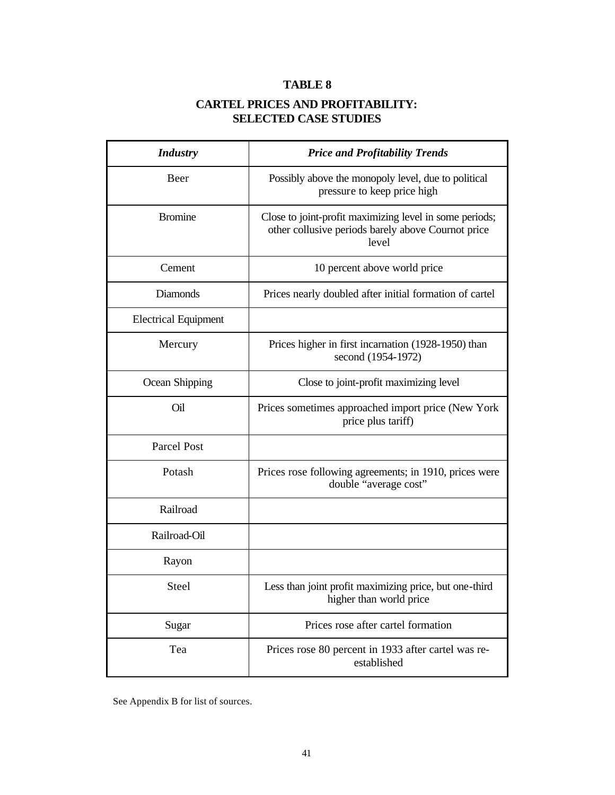## **CARTEL PRICES AND PROFITABILITY: SELECTED CASE STUDIES**

| <b>Industry</b>             | <b>Price and Profitability Trends</b>                                                                                  |  |  |
|-----------------------------|------------------------------------------------------------------------------------------------------------------------|--|--|
| Beer                        | Possibly above the monopoly level, due to political<br>pressure to keep price high                                     |  |  |
| <b>Bromine</b>              | Close to joint-profit maximizing level in some periods;<br>other collusive periods barely above Cournot price<br>level |  |  |
| Cement                      | 10 percent above world price                                                                                           |  |  |
| <b>Diamonds</b>             | Prices nearly doubled after initial formation of cartel                                                                |  |  |
| <b>Electrical Equipment</b> |                                                                                                                        |  |  |
| Mercury                     | Prices higher in first incarnation (1928-1950) than<br>second (1954-1972)                                              |  |  |
| Ocean Shipping              | Close to joint-profit maximizing level                                                                                 |  |  |
| Oil                         | Prices sometimes approached import price (New York<br>price plus tariff)                                               |  |  |
| <b>Parcel Post</b>          |                                                                                                                        |  |  |
| Potash                      | Prices rose following agreements; in 1910, prices were<br>double "average cost"                                        |  |  |
| Railroad                    |                                                                                                                        |  |  |
| Railroad-Oil                |                                                                                                                        |  |  |
| Rayon                       |                                                                                                                        |  |  |
| Steel                       | Less than joint profit maximizing price, but one-third<br>higher than world price                                      |  |  |
| Sugar                       | Prices rose after cartel formation                                                                                     |  |  |
| Tea                         | Prices rose 80 percent in 1933 after cartel was re-<br>established                                                     |  |  |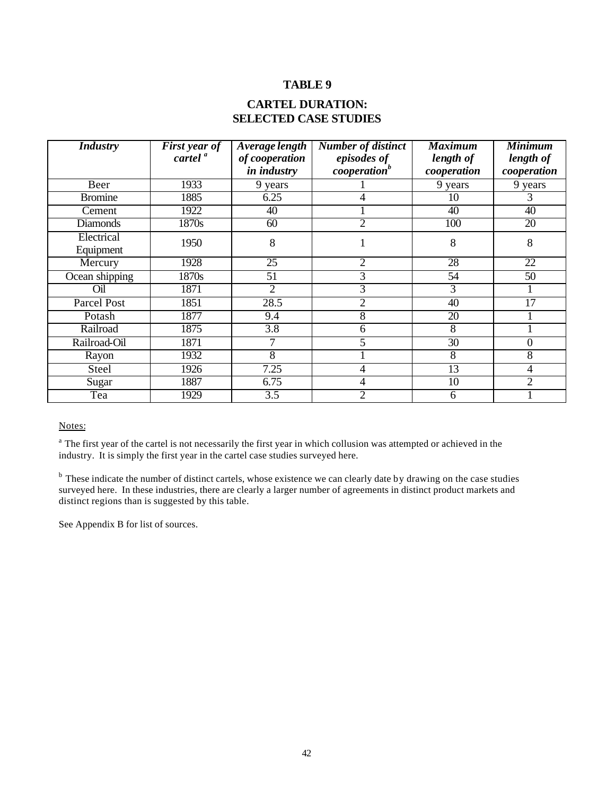### **CARTEL DURATION: SELECTED CASE STUDIES**

| <b>Industry</b> | <b>First year of</b><br>cartel <sup>a</sup> | Average length<br><b>Number of distinct</b><br>of cooperation<br>episodes of |                          | <b>Maximum</b><br>length of | <b>Minimum</b><br>length of |
|-----------------|---------------------------------------------|------------------------------------------------------------------------------|--------------------------|-----------------------------|-----------------------------|
|                 |                                             | <i>in industry</i>                                                           | cooperation <sup>b</sup> | cooperation                 | cooperation                 |
| Beer            | 1933                                        | 9 years                                                                      |                          | 9 years                     | 9 years                     |
| <b>Bromine</b>  | 1885                                        | 6.25                                                                         | 4                        | 10                          | 3                           |
| Cement          | 1922                                        | 40                                                                           |                          | 40                          | 40                          |
| <b>Diamonds</b> | 1870s                                       | 60                                                                           | $\overline{2}$           | 100                         | 20                          |
| Electrical      | 1950                                        | 8                                                                            |                          | 8                           | 8                           |
| Equipment       |                                             |                                                                              |                          |                             |                             |
| Mercury         | 1928                                        | 25                                                                           | $\overline{2}$           | 28                          | 22                          |
| Ocean shipping  | 1870s                                       | 51                                                                           | 3                        | 54                          | 50                          |
| Oil             | 1871                                        | $\overline{2}$                                                               | 3                        | 3                           |                             |
| Parcel Post     | 1851                                        | 28.5                                                                         | 2                        | 40                          | 17                          |
| Potash          | 1877                                        | 9.4                                                                          | 8                        | 20                          |                             |
| Railroad        | 1875                                        | 3.8                                                                          | 6                        | 8                           |                             |
| Railroad-Oil    | 1871                                        | 7                                                                            | 5                        | 30                          | $\overline{0}$              |
| Rayon           | 1932                                        | 8                                                                            |                          | 8                           | 8                           |
| Steel           | 1926                                        | 7.25                                                                         | 4                        | 13                          | 4                           |
| Sugar           | 1887                                        | 6.75                                                                         | 4                        | 10                          | $\overline{2}$              |
| Tea             | 1929                                        | 3.5                                                                          | 2                        | 6                           |                             |

Notes:

<sup>a</sup> The first year of the cartel is not necessarily the first year in which collusion was attempted or achieved in the industry. It is simply the first year in the cartel case studies surveyed here.

<sup>b</sup> These indicate the number of distinct cartels, whose existence we can clearly date by drawing on the case studies surveyed here. In these industries, there are clearly a larger number of agreements in distinct product markets and distinct regions than is suggested by this table.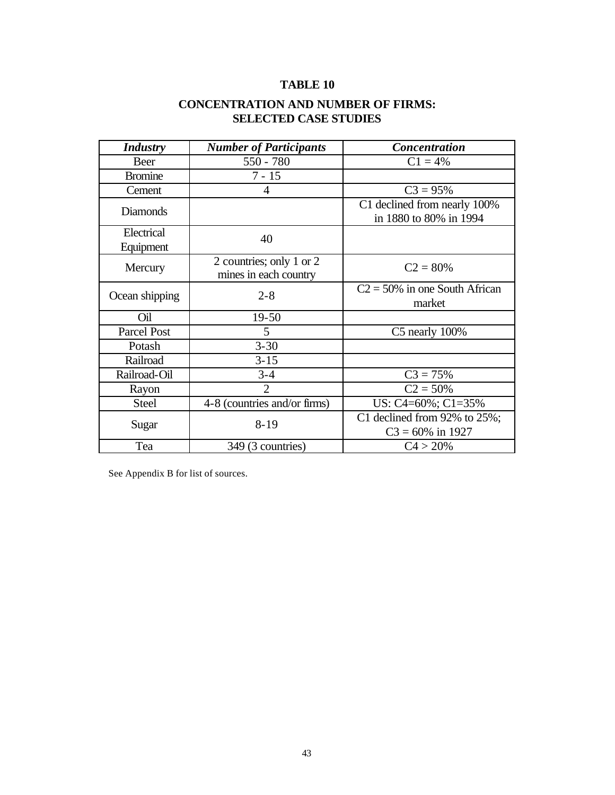## **CONCENTRATION AND NUMBER OF FIRMS: SELECTED CASE STUDIES**

| <b>Industry</b>    | <b>Number of Participants</b>                     | <b>Concentration</b>                                   |
|--------------------|---------------------------------------------------|--------------------------------------------------------|
| Beer               | $550 - 780$                                       | $C1 = 4%$                                              |
| <b>Bromine</b>     | $7 - 15$                                          |                                                        |
| Cement             | 4                                                 | $C3 = 95%$                                             |
| <b>Diamonds</b>    |                                                   | C1 declined from nearly 100%<br>in 1880 to 80% in 1994 |
| Electrical         | 40                                                |                                                        |
| Equipment          |                                                   |                                                        |
| Mercury            | 2 countries; only 1 or 2<br>mines in each country | $C2 = 80%$                                             |
| Ocean shipping     | $2 - 8$                                           | $C2 = 50\%$ in one South African<br>market             |
| Oil                | $19-50$                                           |                                                        |
| <b>Parcel Post</b> | 5                                                 | $C5$ nearly $100\%$                                    |
| Potash             | $3 - 30$                                          |                                                        |
| Railroad           | $3 - 15$                                          |                                                        |
| Railroad-Oil       | $3 - 4$                                           | $C3 = 75%$                                             |
| Rayon              | $\mathfrak{2}$                                    | $C2 = 50%$                                             |
| <b>Steel</b>       | 4-8 (countries and/or firms)                      | US: C4=60%; C1=35%                                     |
|                    | $8 - 19$                                          | C1 declined from $92\%$ to $25\%;$                     |
| Sugar              |                                                   | $C3 = 60\%$ in 1927                                    |
| Tea                | 349 (3 countries)                                 | C4 > 20%                                               |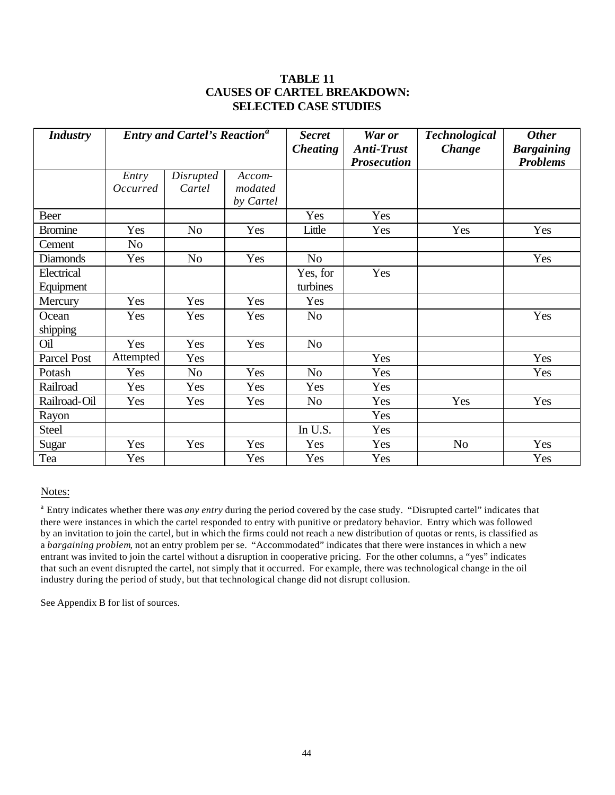### **TABLE 11 CAUSES OF CARTEL BREAKDOWN: SELECTED CASE STUDIES**

| <b>Industry</b> | <b>Entry and Cartel's Reaction<sup>a</sup></b> |                |           | <b>Secret</b><br><b>Cheating</b> | War or<br><b>Anti-Trust</b> | <b>Technological</b><br><b>Change</b> | <b>Other</b><br><b>Bargaining</b> |
|-----------------|------------------------------------------------|----------------|-----------|----------------------------------|-----------------------------|---------------------------------------|-----------------------------------|
|                 |                                                |                |           |                                  | <b>Prosecution</b>          |                                       | <b>Problems</b>                   |
|                 | Entry                                          | Disrupted      | Accom-    |                                  |                             |                                       |                                   |
|                 | Occurred                                       | Cartel         | modated   |                                  |                             |                                       |                                   |
|                 |                                                |                | by Cartel |                                  |                             |                                       |                                   |
| Beer            |                                                |                |           | Yes                              | Yes                         |                                       |                                   |
| <b>Bromine</b>  | Yes                                            | N <sub>o</sub> | Yes       | Little                           | Yes                         | Yes                                   | Yes                               |
| Cement          | No                                             |                |           |                                  |                             |                                       |                                   |
| <b>Diamonds</b> | Yes                                            | N <sub>0</sub> | Yes       | N <sub>o</sub>                   |                             |                                       | Yes                               |
| Electrical      |                                                |                |           | Yes, for                         | Yes                         |                                       |                                   |
| Equipment       |                                                |                |           | turbines                         |                             |                                       |                                   |
| Mercury         | Yes                                            | Yes            | Yes       | Yes                              |                             |                                       |                                   |
| Ocean           | Yes                                            | Yes            | Yes       | N <sub>o</sub>                   |                             |                                       | Yes                               |
| shipping        |                                                |                |           |                                  |                             |                                       |                                   |
| Oil             | Yes                                            | Yes            | Yes       | N <sub>o</sub>                   |                             |                                       |                                   |
| Parcel Post     | Attempted                                      | Yes            |           |                                  | Yes                         |                                       | Yes                               |
| Potash          | Yes                                            | N <sub>0</sub> | Yes       | N <sub>o</sub>                   | Yes                         |                                       | Yes                               |
| Railroad        | Yes                                            | Yes            | Yes       | Yes                              | Yes                         |                                       |                                   |
| Railroad-Oil    | Yes                                            | Yes            | Yes       | N <sub>o</sub>                   | Yes                         | Yes                                   | Yes                               |
| Rayon           |                                                |                |           |                                  | Yes                         |                                       |                                   |
| Steel           |                                                |                |           | In U.S.                          | Yes                         |                                       |                                   |
| Sugar           | Yes                                            | Yes            | Yes       | Yes                              | Yes                         | N <sub>o</sub>                        | Yes                               |
| Tea             | Yes                                            |                | Yes       | Yes                              | Yes                         |                                       | Yes                               |

Notes:

<sup>a</sup> Entry indicates whether there was *any entry* during the period covered by the case study. "Disrupted cartel" indicates that there were instances in which the cartel responded to entry with punitive or predatory behavior. Entry which was followed by an invitation to join the cartel, but in which the firms could not reach a new distribution of quotas or rents, is classified as a *bargaining problem*, not an entry problem per se. "Accommodated" indicates that there were instances in which a new entrant was invited to join the cartel without a disruption in cooperative pricing. For the other columns, a "yes" indicates that such an event disrupted the cartel, not simply that it occurred. For example, there was technological change in the oil industry during the period of study, but that technological change did not disrupt collusion.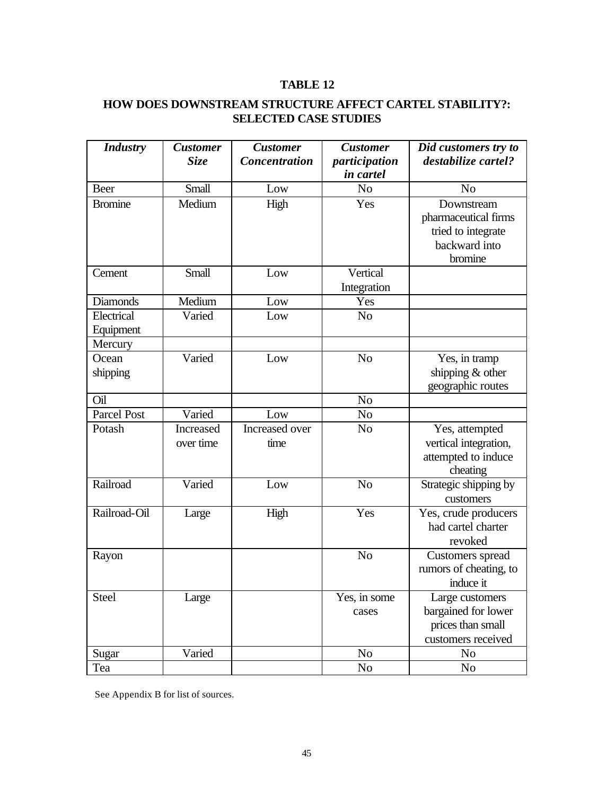## **HOW DOES DOWNSTREAM STRUCTURE AFFECT CARTEL STABILITY?: SELECTED CASE STUDIES**

| <b>Industry</b>         | <b>Customer</b><br><b>Size</b> | <b>Customer</b><br><b>Concentration</b> | <b>Customer</b><br>participation | Did customers try to<br>destabilize cartel?                                          |
|-------------------------|--------------------------------|-----------------------------------------|----------------------------------|--------------------------------------------------------------------------------------|
|                         |                                |                                         | in cartel                        |                                                                                      |
| Beer                    | Small                          | Low                                     | N <sub>o</sub>                   | N <sub>o</sub>                                                                       |
| <b>Bromine</b>          | Medium                         | High                                    | Yes                              | Downstream<br>pharmaceutical firms<br>tried to integrate<br>backward into<br>bromine |
| Cement                  | Small                          | Low                                     | Vertical                         |                                                                                      |
|                         |                                |                                         | Integration                      |                                                                                      |
| <b>Diamonds</b>         | Medium                         | Low                                     | Yes                              |                                                                                      |
| Electrical<br>Equipment | Varied                         | Low                                     | N <sub>o</sub>                   |                                                                                      |
| Mercury                 |                                |                                         |                                  |                                                                                      |
| Ocean                   | Varied                         | Low                                     | N <sub>o</sub>                   | Yes, in tramp                                                                        |
| shipping                |                                |                                         |                                  | shipping $&$ other<br>geographic routes                                              |
| Oil                     |                                |                                         | N <sub>o</sub>                   |                                                                                      |
| <b>Parcel Post</b>      | Varied                         | Low                                     | No                               |                                                                                      |
| Potash                  | Increased<br>over time         | Increased over<br>time                  | N <sub>o</sub>                   | Yes, attempted<br>vertical integration,<br>attempted to induce<br>cheating           |
| Railroad                | Varied                         | Low                                     | N <sub>o</sub>                   | Strategic shipping by<br>customers                                                   |
| Railroad-Oil            | Large                          | High                                    | Yes                              | Yes, crude producers<br>had cartel charter<br>revoked                                |
| Rayon                   |                                |                                         | N <sub>o</sub>                   | Customers spread<br>rumors of cheating, to<br>induce it                              |
| <b>Steel</b>            | Large                          |                                         | Yes, in some                     | Large customers                                                                      |
|                         |                                |                                         | cases                            | bargained for lower                                                                  |
|                         |                                |                                         |                                  | prices than small                                                                    |
|                         |                                |                                         |                                  | customers received                                                                   |
| Sugar                   | Varied                         |                                         | N <sub>0</sub>                   | N <sub>0</sub>                                                                       |
| Tea                     |                                |                                         | No                               | No                                                                                   |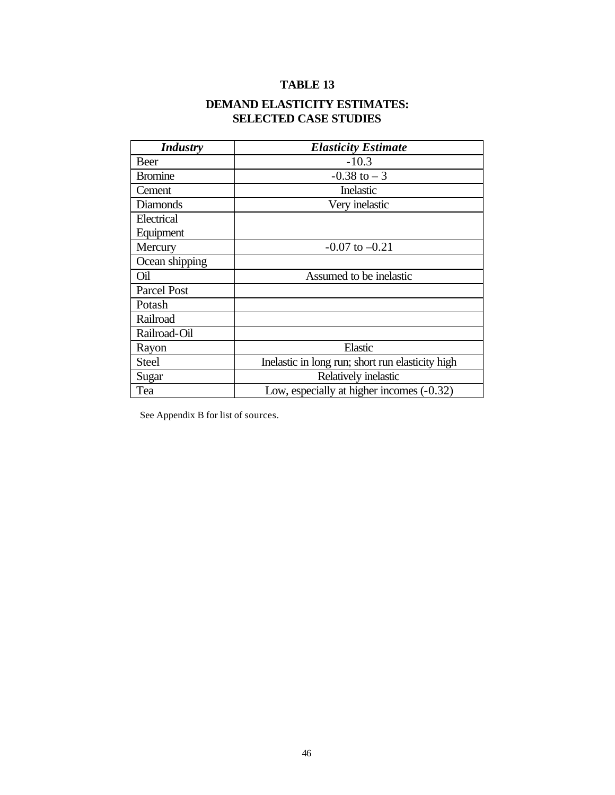## **DEMAND ELASTICITY ESTIMATES: SELECTED CASE STUDIES**

| <b>Industry</b> | <b>Elasticity Estimate</b>                       |  |
|-----------------|--------------------------------------------------|--|
| <b>Beer</b>     | $-10.3$                                          |  |
| <b>Bromine</b>  | $-0.38$ to $-3$                                  |  |
| Cement          | Inelastic                                        |  |
| <b>Diamonds</b> | Very inelastic                                   |  |
| Electrical      |                                                  |  |
| Equipment       |                                                  |  |
| Mercury         | $-0.07$ to $-0.21$                               |  |
| Ocean shipping  |                                                  |  |
| Oil             | Assumed to be inelastic                          |  |
| Parcel Post     |                                                  |  |
| Potash          |                                                  |  |
| Railroad        |                                                  |  |
| Railroad-Oil    |                                                  |  |
| Rayon           | Elastic                                          |  |
| <b>Steel</b>    | Inelastic in long run; short run elasticity high |  |
| Sugar           | Relatively inelastic                             |  |
| Tea             | Low, especially at higher incomes (-0.32)        |  |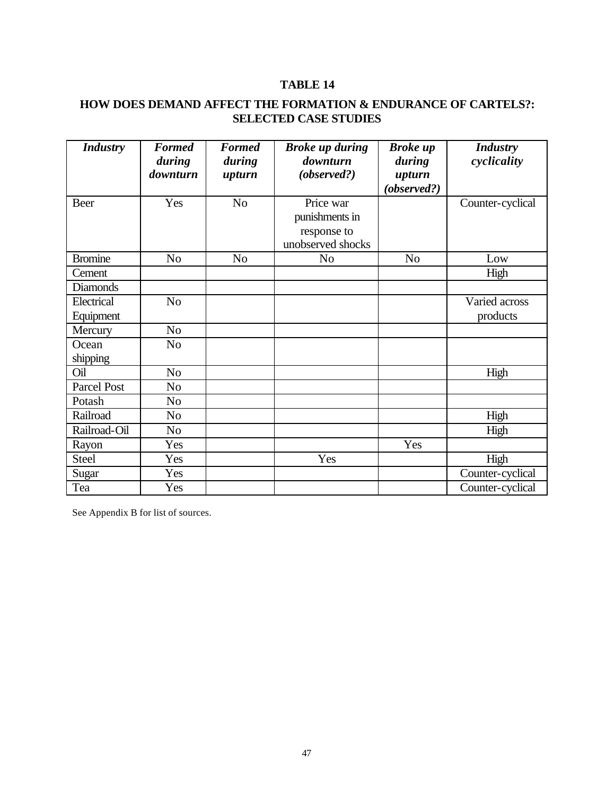## **HOW DOES DEMAND AFFECT THE FORMATION & ENDURANCE OF CARTELS?: SELECTED CASE STUDIES**

| <b>Industry</b>    | <b>Formed</b><br>during<br>downturn | <b>Formed</b><br>during<br>upturn | <b>Broke up during</b><br>downturn<br>(observed?)               | <b>Broke</b> up<br>during<br>upturn<br>(observed?) | <b>Industry</b><br>cyclicality |
|--------------------|-------------------------------------|-----------------------------------|-----------------------------------------------------------------|----------------------------------------------------|--------------------------------|
| Beer               | Yes                                 | N <sub>o</sub>                    | Price war<br>punishments in<br>response to<br>unobserved shocks |                                                    | Counter-cyclical               |
| <b>Bromine</b>     | N <sub>o</sub>                      | N <sub>o</sub>                    | N <sub>o</sub>                                                  | N <sub>o</sub>                                     | Low                            |
| Cement             |                                     |                                   |                                                                 |                                                    | High                           |
| <b>Diamonds</b>    |                                     |                                   |                                                                 |                                                    |                                |
| Electrical         | N <sub>o</sub>                      |                                   |                                                                 |                                                    | Varied across                  |
| Equipment          |                                     |                                   |                                                                 |                                                    | products                       |
| Mercury            | N <sub>o</sub>                      |                                   |                                                                 |                                                    |                                |
| Ocean<br>shipping  | N <sub>o</sub>                      |                                   |                                                                 |                                                    |                                |
| Oil                | N <sub>o</sub>                      |                                   |                                                                 |                                                    | High                           |
| <b>Parcel Post</b> | No                                  |                                   |                                                                 |                                                    |                                |
| Potash             | N <sub>o</sub>                      |                                   |                                                                 |                                                    |                                |
| Railroad           | N <sub>0</sub>                      |                                   |                                                                 |                                                    | High                           |
| Railroad-Oil       | N <sub>o</sub>                      |                                   |                                                                 |                                                    | High                           |
| Rayon              | Yes                                 |                                   |                                                                 | Yes                                                |                                |
| <b>Steel</b>       | Yes                                 |                                   | Yes                                                             |                                                    | High                           |
| Sugar              | Yes                                 |                                   |                                                                 |                                                    | Counter-cyclical               |
| Tea                | Yes                                 |                                   |                                                                 |                                                    | Counter-cyclical               |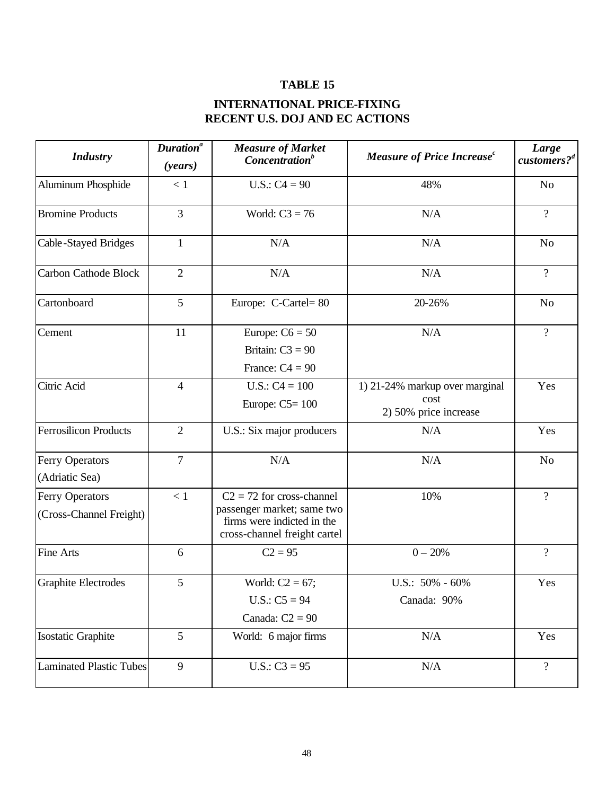## **INTERNATIONAL PRICE-FIXING RECENT U.S. DOJ AND EC ACTIONS**

| <b>Industry</b>                                   | Duration <sup>a</sup><br>(years) | <b>Measure of Market</b><br>Concentration <sup>b</sup>                                                                  | Measure of Price Increase <sup>c</sup>                          |                |
|---------------------------------------------------|----------------------------------|-------------------------------------------------------------------------------------------------------------------------|-----------------------------------------------------------------|----------------|
| <b>Aluminum Phosphide</b>                         | < 1                              | $U.S.: C4 = 90$                                                                                                         | 48%                                                             | N <sub>o</sub> |
| <b>Bromine Products</b>                           | 3                                | World: $C3 = 76$                                                                                                        | N/A                                                             | $\overline{?}$ |
| Cable-Stayed Bridges                              | $\mathbf{1}$                     | N/A<br>N/A                                                                                                              |                                                                 | N <sub>o</sub> |
| <b>Carbon Cathode Block</b>                       | $\overline{2}$                   | N/A                                                                                                                     | N/A                                                             | $\overline{?}$ |
| Cartonboard                                       | 5                                | Europe: C-Cartel=80                                                                                                     | 20-26%                                                          | N <sub>o</sub> |
| Cement                                            | 11                               | Europe: $C6 = 50$<br>Britain: $C3 = 90$<br>France: $C4 = 90$                                                            | N/A                                                             | $\overline{?}$ |
| Citric Acid                                       | $\overline{4}$                   | $U.S.: C4 = 100$<br>Europe: $C5 = 100$                                                                                  | 1) 21-24% markup over marginal<br>cost<br>2) 50% price increase | Yes            |
| <b>Ferrosilicon Products</b>                      | $\overline{2}$                   | U.S.: Six major producers                                                                                               | N/A                                                             | Yes            |
| <b>Ferry Operators</b><br>(Adriatic Sea)          | $\overline{7}$                   | N/A                                                                                                                     | N/A                                                             | N <sub>o</sub> |
| <b>Ferry Operators</b><br>(Cross-Channel Freight) | < 1                              | $C2 = 72$ for cross-channel<br>passenger market; same two<br>firms were indicted in the<br>cross-channel freight cartel | 10%                                                             | $\overline{?}$ |
| <b>Fine Arts</b>                                  | 6                                | $C2 = 95$                                                                                                               | $0 - 20%$                                                       | $\overline{?}$ |
| Graphite Electrodes                               | 5                                | World: $C2 = 67$ ;<br>$U.S.: C5 = 94$<br>Canada: $C2 = 90$                                                              | U.S.: 50% - 60%<br>Canada: 90%                                  | Yes            |
| Isostatic Graphite                                | 5                                | World: 6 major firms                                                                                                    | N/A<br>Yes                                                      |                |
| <b>Laminated Plastic Tubes</b>                    | 9                                | $U.S.: C3 = 95$                                                                                                         | N/A                                                             | $\overline{?}$ |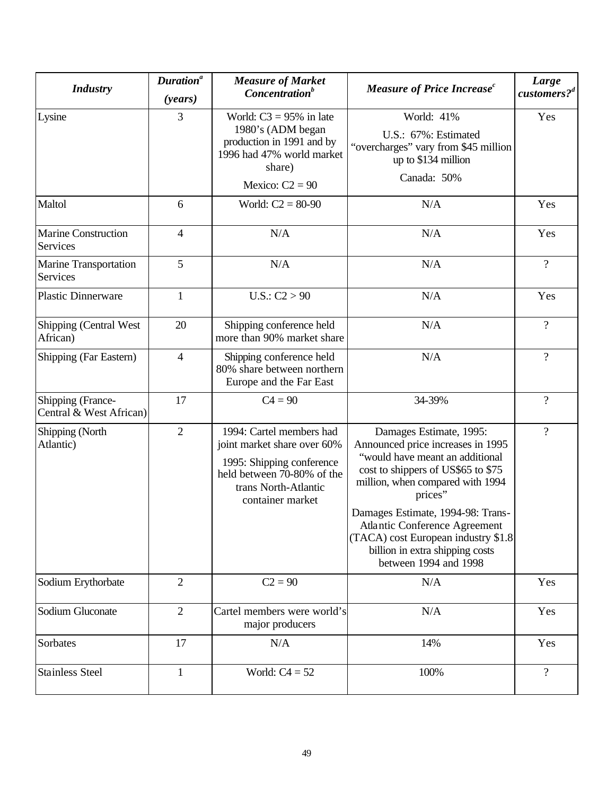| <b>Industry</b>                               | Duration <sup>a</sup><br>(years) | <b>Measure of Market</b><br>Concentration <sup>b</sup>                                                                                                         | Measure of Price Increase <sup>c</sup>                                                                                                                                                                                                                                                                                                                        | Large<br>customers? <sup>d</sup> |
|-----------------------------------------------|----------------------------------|----------------------------------------------------------------------------------------------------------------------------------------------------------------|---------------------------------------------------------------------------------------------------------------------------------------------------------------------------------------------------------------------------------------------------------------------------------------------------------------------------------------------------------------|----------------------------------|
| Lysine                                        | 3                                | World: $C3 = 95\%$ in late<br>1980's (ADM began<br>production in 1991 and by<br>1996 had 47% world market<br>share)<br>Mexico: $C2 = 90$                       | World: 41%<br>U.S.: 67%: Estimated<br>"overcharges" vary from \$45 million<br>up to \$134 million<br>Canada: 50%                                                                                                                                                                                                                                              | Yes                              |
| Maltol                                        | 6                                | World: $C2 = 80-90$                                                                                                                                            | N/A                                                                                                                                                                                                                                                                                                                                                           | Yes                              |
| <b>Marine Construction</b><br><b>Services</b> | $\overline{4}$                   | N/A                                                                                                                                                            | N/A                                                                                                                                                                                                                                                                                                                                                           | Yes                              |
| Marine Transportation<br>Services             | 5                                | N/A                                                                                                                                                            | N/A                                                                                                                                                                                                                                                                                                                                                           | $\overline{?}$                   |
| <b>Plastic Dinnerware</b>                     | $\mathbf{1}$                     | U.S.: C2 > 90                                                                                                                                                  | N/A                                                                                                                                                                                                                                                                                                                                                           | Yes                              |
| Shipping (Central West<br>African)            | 20                               | Shipping conference held<br>more than 90% market share                                                                                                         | N/A                                                                                                                                                                                                                                                                                                                                                           | $\overline{?}$                   |
| Shipping (Far Eastern)                        | $\overline{4}$                   | Shipping conference held<br>80% share between northern<br>Europe and the Far East                                                                              | N/A                                                                                                                                                                                                                                                                                                                                                           | $\overline{?}$                   |
| Shipping (France-<br>Central & West African)  | 17                               | $C4 = 90$                                                                                                                                                      | 34-39%                                                                                                                                                                                                                                                                                                                                                        | $\overline{?}$                   |
| Shipping (North<br>Atlantic)                  | $\overline{2}$                   | 1994: Cartel members had<br>joint market share over 60%<br>1995: Shipping conference<br>held between 70-80% of the<br>trans North-Atlantic<br>container market | Damages Estimate, 1995:<br>Announced price increases in 1995<br>"would have meant an additional<br>cost to shippers of US\$65 to \$75<br>million, when compared with 1994<br>prices"<br>Damages Estimate, 1994-98: Trans-<br>Atlantic Conference Agreement<br>(TACA) cost European industry \$1.8<br>billion in extra shipping costs<br>between 1994 and 1998 | $\overline{?}$                   |
| Sodium Erythorbate                            | $\overline{2}$                   | $C2 = 90$                                                                                                                                                      | N/A                                                                                                                                                                                                                                                                                                                                                           | Yes                              |
| Sodium Gluconate                              | $\overline{2}$                   | Cartel members were world's<br>major producers                                                                                                                 | N/A                                                                                                                                                                                                                                                                                                                                                           | Yes                              |
| Sorbates                                      | 17                               | N/A                                                                                                                                                            | 14%                                                                                                                                                                                                                                                                                                                                                           | Yes                              |
| <b>Stainless Steel</b>                        | $\mathbf{1}$                     | World: $C4 = 52$                                                                                                                                               | 100%                                                                                                                                                                                                                                                                                                                                                          | $\overline{?}$                   |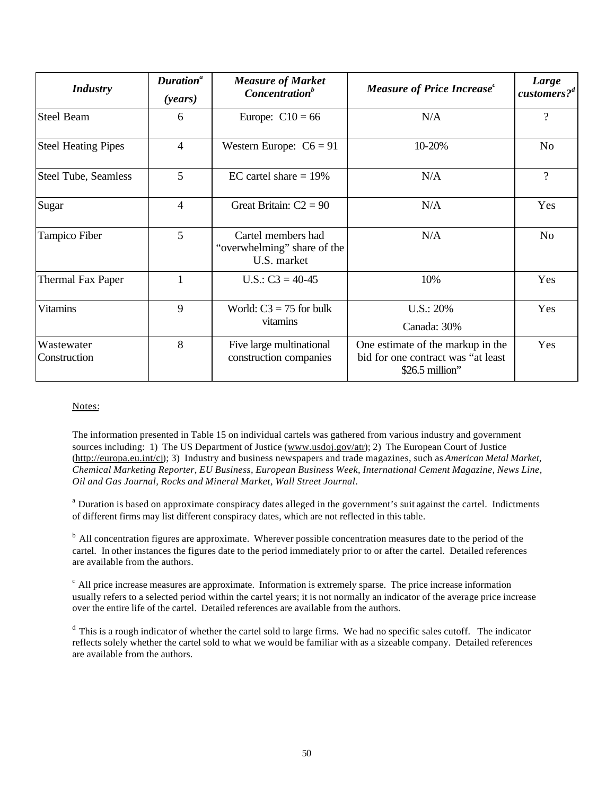| <b>Industry</b>             | Duration <sup>a</sup><br>(years) | <b>Measure of Market</b><br>Concentration <sup>b</sup>                  | <b>Measure of Price Increase</b> <sup>c</sup>                                              | Large<br>customers? <sup>d</sup> |
|-----------------------------|----------------------------------|-------------------------------------------------------------------------|--------------------------------------------------------------------------------------------|----------------------------------|
| <b>Steel Beam</b>           | 6                                | Europe: $C10 = 66$                                                      | N/A                                                                                        | $\overline{\mathcal{L}}$         |
| <b>Steel Heating Pipes</b>  | $\overline{4}$                   | Western Europe: $C6 = 91$<br>10-20%                                     |                                                                                            | N <sub>o</sub>                   |
| <b>Steel Tube, Seamless</b> | 5                                | EC cartel share $= 19\%$                                                | N/A                                                                                        | $\overline{?}$                   |
| Sugar                       | 4                                | Great Britain: $C2 = 90$                                                | N/A                                                                                        | Yes                              |
| Tampico Fiber               | 5                                | Cartel members had<br>N/A<br>"overwhelming" share of the<br>U.S. market |                                                                                            | N <sub>o</sub>                   |
| <b>Thermal Fax Paper</b>    | 1                                | U.S.: $C3 = 40-45$                                                      | 10%                                                                                        |                                  |
| <b>Vitamins</b>             | 9                                | World: $C3 = 75$ for bulk<br>vitamins                                   | U.S.: 20%<br>Canada: 30%                                                                   | Yes                              |
| Wastewater<br>Construction  | 8                                | Five large multinational<br>construction companies                      | One estimate of the markup in the<br>bid for one contract was "at least<br>\$26.5 million" | Yes                              |

#### Notes:

The information presented in Table 15 on individual cartels was gathered from various industry and government sources including: 1) The US Department of Justice (www.usdoj.gov/atr); 2) The European Court of Justice (http://europa.eu.int/cj); 3) Industry and business newspapers and trade magazines, such as *American Metal Market, Chemical Marketing Reporter, EU Business, European Business Week, International Cement Magazine, News Line, Oil and Gas Journal, Rocks and Mineral Market, Wall Street Journal*.

<sup>a</sup> Duration is based on approximate conspiracy dates alleged in the government's suit against the cartel. Indictments of different firms may list different conspiracy dates, which are not reflected in this table.

<sup>b</sup> All concentration figures are approximate. Wherever possible concentration measures date to the period of the cartel. In other instances the figures date to the period immediately prior to or after the cartel. Detailed references are available from the authors.

 $c$ All price increase measures are approximate. Information is extremely sparse. The price increase information usually refers to a selected period within the cartel years; it is not normally an indicator of the average price increase over the entire life of the cartel. Detailed references are available from the authors.

 $d$  This is a rough indicator of whether the cartel sold to large firms. We had no specific sales cutoff. The indicator reflects solely whether the cartel sold to what we would be familiar with as a sizeable company. Detailed references are available from the authors.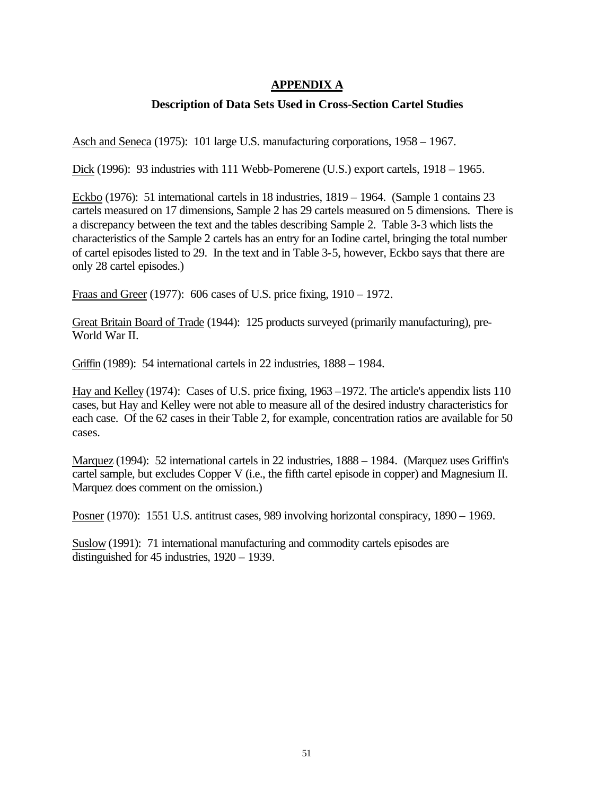## **APPENDIX A**

### **Description of Data Sets Used in Cross-Section Cartel Studies**

Asch and Seneca (1975): 101 large U.S. manufacturing corporations, 1958 – 1967.

Dick (1996): 93 industries with 111 Webb-Pomerene (U.S.) export cartels, 1918 – 1965.

Eckbo (1976): 51 international cartels in 18 industries, 1819 – 1964. (Sample 1 contains 23 cartels measured on 17 dimensions, Sample 2 has 29 cartels measured on 5 dimensions. There is a discrepancy between the text and the tables describing Sample 2. Table 3-3 which lists the characteristics of the Sample 2 cartels has an entry for an Iodine cartel, bringing the total number of cartel episodes listed to 29. In the text and in Table 3-5, however, Eckbo says that there are only 28 cartel episodes.)

Fraas and Greer (1977): 606 cases of U.S. price fixing, 1910 – 1972.

Great Britain Board of Trade (1944): 125 products surveyed (primarily manufacturing), pre-World War II.

Griffin (1989): 54 international cartels in 22 industries, 1888 – 1984.

Hay and Kelley (1974): Cases of U.S. price fixing, 1963 –1972. The article's appendix lists 110 cases, but Hay and Kelley were not able to measure all of the desired industry characteristics for each case. Of the 62 cases in their Table 2, for example, concentration ratios are available for 50 cases.

Marquez (1994): 52 international cartels in 22 industries, 1888 – 1984. (Marquez uses Griffin's cartel sample, but excludes Copper V (i.e., the fifth cartel episode in copper) and Magnesium II. Marquez does comment on the omission.)

Posner (1970): 1551 U.S. antitrust cases, 989 involving horizontal conspiracy, 1890 – 1969.

Suslow (1991): 71 international manufacturing and commodity cartels episodes are distinguished for 45 industries, 1920 – 1939.